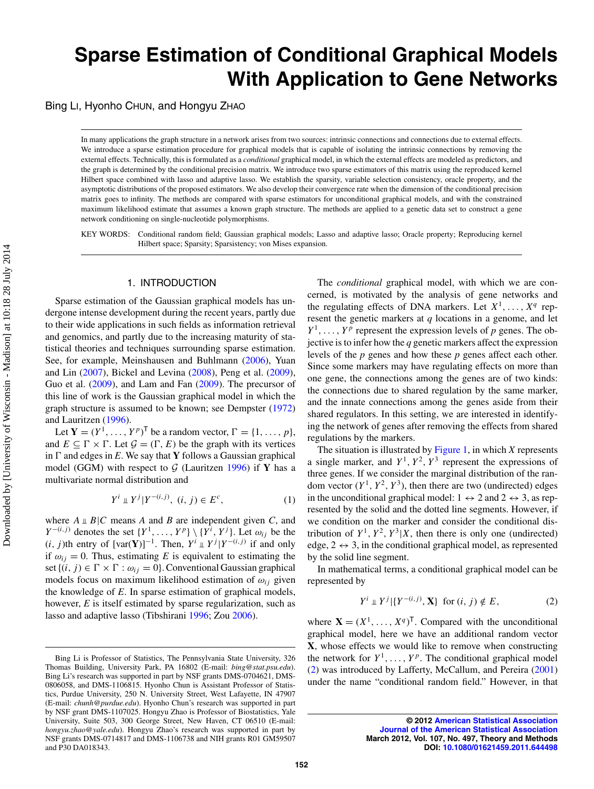# **Sparse Estimation of Conditional Graphical Models With Application to Gene Networks**

Bing LI, Hyonho CHUN, and Hongyu ZHAO

In many applications the graph structure in a network arises from two sources: intrinsic connections and connections due to external effects. We introduce a sparse estimation procedure for graphical models that is capable of isolating the intrinsic connections by removing the external effects. Technically, this is formulated as a *conditional* graphical model, in which the external effects are modeled as predictors, and the graph is determined by the conditional precision matrix. We introduce two sparse estimators of this matrix using the reproduced kernel Hilbert space combined with lasso and adaptive lasso. We establish the sparsity, variable selection consistency, oracle property, and the asymptotic distributions of the proposed estimators. We also develop their convergence rate when the dimension of the conditional precision matrix goes to infinity. The methods are compared with sparse estimators for unconditional graphical models, and with the constrained maximum likelihood estimate that assumes a known graph structure. The methods are applied to a genetic data set to construct a gene network conditioning on single-nucleotide polymorphisms.

KEY WORDS: Conditional random field; Gaussian graphical models; Lasso and adaptive lasso; Oracle property; Reproducing kernel Hilbert space; Sparsity; Sparsistency; von Mises expansion.

# <span id="page-0-0"></span>1. INTRODUCTION

Sparse estimation of the Gaussian graphical models has undergone intense development during the recent years, partly due to their wide applications in such fields as information retrieval and genomics, and partly due to the increasing maturity of statistical theories and techniques surrounding sparse estimation. See, for example, Meinshausen and Buhlmann [\(2006\)](#page-15-0), Yuan and Lin [\(2007\)](#page-15-1), Bickel and Levina [\(2008\)](#page-15-2), Peng et al. [\(2009\)](#page-15-3), Guo et al. [\(2009\)](#page-15-4), and Lam and Fan [\(2009\)](#page-15-5). The precursor of this line of work is the Gaussian graphical model in which the graph structure is assumed to be known; see Dempster [\(1972\)](#page-15-6) and Lauritzen [\(1996\)](#page-15-7).

<span id="page-0-9"></span><span id="page-0-5"></span><span id="page-0-2"></span>Let **Y** =  $(Y^1, \ldots, Y^p)^\mathsf{T}$  be a random vector,  $\Gamma = \{1, \ldots, p\}$ , and  $E \subseteq \Gamma \times \Gamma$ . Let  $\mathcal{G} = (\Gamma, E)$  be the graph with its vertices in  $\Gamma$  and edges in *E*. We say that **Y** follows a Gaussian graphical model (GGM) with respect to *G* (Lauritzen [1996\)](#page-15-7) if **Y** has a multivariate normal distribution and

$$
Y^{i} \perp Y^{j} | Y^{-(i,j)}, (i,j) \in E^{c}, \tag{1}
$$

where  $A \perp B|C$  means *A* and *B* are independent given *C*, and  $Y^{-(i,j)}$  denotes the set  $\{Y^1, \ldots, Y^p\} \setminus \{Y^i, Y^j\}$ . Let  $\omega_{ij}$  be the  $(i, j)$ th entry of  $[var(Y)]^{-1}$ . Then,  $Y^i \perp Y^j | Y^{-(i,j)}$  if and only if  $\omega_{ij} = 0$ . Thus, estimating *E* is equivalent to estimating the set  $\{(i, j) \in \Gamma \times \Gamma : \omega_{ij} = 0\}$ . Conventional Gaussian graphical models focus on maximum likelihood estimation of  $\omega_{ij}$  given the knowledge of *E*. In sparse estimation of graphical models, however, *E* is itself estimated by sparse regularization, such as lasso and adaptive lasso (Tibshirani [1996;](#page-15-8) Zou [2006\)](#page-15-9).

The *conditional* graphical model, with which we are concerned, is motivated by the analysis of gene networks and the regulating effects of DNA markers. Let  $X^1, \ldots, X^q$  represent the genetic markers at *q* locations in a genome, and let  $Y^1, \ldots, Y^p$  represent the expression levels of *p* genes. The objective is to infer how the *q* genetic markers affect the expression levels of the *p* genes and how these *p* genes affect each other. Since some markers may have regulating effects on more than one gene, the connections among the genes are of two kinds: the connections due to shared regulation by the same marker, and the innate connections among the genes aside from their shared regulators. In this setting, we are interested in identifying the network of genes after removing the effects from shared regulations by the markers.

<span id="page-0-7"></span><span id="page-0-6"></span><span id="page-0-4"></span><span id="page-0-1"></span>The situation is illustrated by [Figure 1,](#page-1-0) in which *X* represents a single marker, and  $Y^1$ ,  $Y^2$ ,  $Y^3$  represent the expressions of three genes. If we consider the marginal distribution of the random vector  $(Y^1, Y^2, Y^3)$ , then there are two (undirected) edges in the unconditional graphical model:  $1 \leftrightarrow 2$  and  $2 \leftrightarrow 3$ , as represented by the solid and the dotted line segments. However, if we condition on the marker and consider the conditional distribution of  $Y^1$ ,  $Y^2$ ,  $Y^3|X$ , then there is only one (undirected) edge,  $2 \leftrightarrow 3$ , in the conditional graphical model, as represented by the solid line segment.

In mathematical terms, a conditional graphical model can be represented by

$$
Y^{i} \perp Y^{j} | \{ Y^{-(i,j)}, \mathbf{X} \} \text{ for } (i, j) \notin E,
$$
 (2)

<span id="page-0-10"></span><span id="page-0-8"></span>where  $X = (X^1, \ldots, X^q)^T$ . Compared with the unconditional graphical model, here we have an additional random vector **X**, whose effects we would like to remove when constructing the network for  $Y^1, \ldots, Y^p$ . The conditional graphical model (2) was introduced by Lafferty, McCallum, and Pereira [\(2001\)](#page-15-10) under the name "conditional random field." However, in that

Bing Li is Professor of Statistics, The Pennsylvania State University, 326 Thomas Building, University Park, PA 16802 (E-mail: *bing@stat.psu.edu*). Bing Li's research was supported in part by NSF grants DMS-0704621, DMS-0806058, and DMS-1106815. Hyonho Chun is Assistant Professor of Statistics, Purdue University, 250 N. University Street, West Lafayette, IN 47907 (E-mail: *chunh@purdue.edu*). Hyonho Chun's research was supported in part by NSF grant DMS-1107025. Hongyu Zhao is Professor of Biostatistics, Yale University, Suite 503, 300 George Street, New Haven, CT 06510 (E-mail: *hongyu.zhao@yale.edu*). Hongyu Zhao's research was supported in part by NSF grants DMS-0714817 and DMS-1106738 and NIH grants R01 GM59507 and P30 DA018343.

<span id="page-0-3"></span>**<sup>© 2012</sup> [American Statistical Association](http://www.amstat.org) [Journal of the American Statistical Association](http://pubs.amstat.org/loi/jasa) March 2012, Vol. 107, No. 497, Theory and Methods DOI: [10.1080/01621459.2011.644498](http://dx.doi.org/10.1080/01621459.2011.644498)**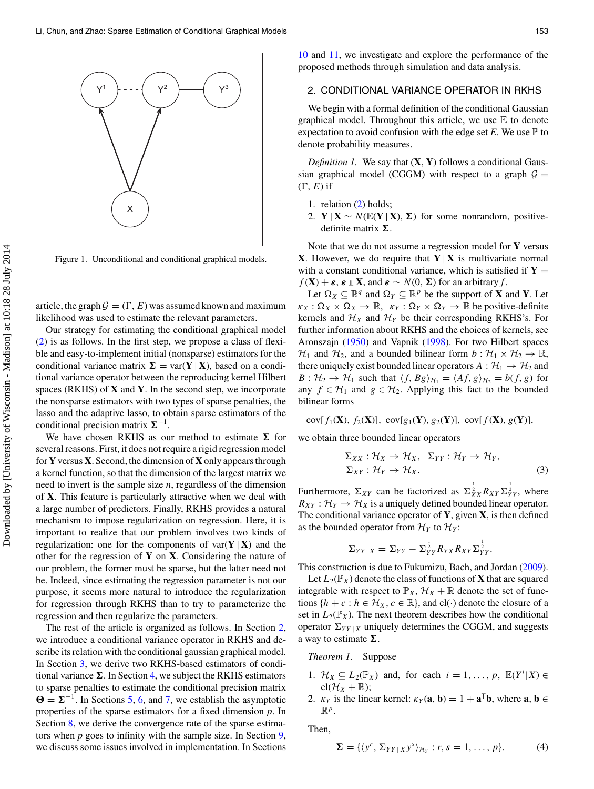<span id="page-1-0"></span>

Figure 1. Unconditional and conditional graphical models.

article, the graph  $G = (\Gamma, E)$  was assumed known and maximum likelihood was used to estimate the relevant parameters.

Our strategy for estimating the conditional graphical model (2) is as follows. In the first step, we propose a class of flexible and easy-to-implement initial (nonsparse) estimators for the conditional variance matrix  $\Sigma = \text{var}(Y | X)$ , based on a conditional variance operator between the reproducing kernel Hilbert spaces (RKHS) of **X** and **Y**. In the second step, we incorporate the nonsparse estimators with two types of sparse penalties, the lasso and the adaptive lasso, to obtain sparse estimators of the conditional precision matrix  $\Sigma^{-1}$ .

We have chosen RKHS as our method to estimate  $\Sigma$  for several reasons. First, it does not require a rigid regression model for **Y** versus **X**. Second, the dimension of **X** only appears through a kernel function, so that the dimension of the largest matrix we need to invert is the sample size *n*, regardless of the dimension of **X**. This feature is particularly attractive when we deal with a large number of predictors. Finally, RKHS provides a natural mechanism to impose regularization on regression. Here, it is important to realize that our problem involves two kinds of regularization: one for the components of  $var(Y | X)$  and the other for the regression of **Y** on **X**. Considering the nature of our problem, the former must be sparse, but the latter need not be. Indeed, since estimating the regression parameter is not our purpose, it seems more natural to introduce the regularization for regression through RKHS than to try to parameterize the regression and then regularize the parameters.

The rest of the article is organized as follows. In Section [2,](#page-1-1) we introduce a conditional variance operator in RKHS and describe its relation with the conditional gaussian graphical model. In Section [3,](#page-2-0) we derive two RKHS-based estimators of conditional variance  $\Sigma$ . In Section [4,](#page-3-0) we subject the RKHS estimators to sparse penalties to estimate the conditional precision matrix  $\Theta = \Sigma^{-1}$ . In Sections [5,](#page-3-1) [6,](#page-5-0) and [7,](#page-6-0) we establish the asymptotic properties of the sparse estimators for a fixed dimension *p*. In Section [8,](#page-7-0) we derive the convergence rate of the sparse estimators when *p* goes to infinity with the sample size. In Section [9,](#page-9-0) we discuss some issues involved in implementation. In Sections

[10](#page-10-0) and [11,](#page-13-0) we investigate and explore the performance of the proposed methods through simulation and data analysis.

# <span id="page-1-1"></span>2. CONDITIONAL VARIANCE OPERATOR IN RKHS

We begin with a formal definition of the conditional Gaussian graphical model. Throughout this article, we use  $E$  to denote expectation to avoid confusion with the edge set  $E$ . We use  $\mathbb P$  to denote probability measures.

*Definition 1.* We say that (**X**, **Y**) follows a conditional Gaussian graphical model (CGGM) with respect to a graph  $G =$  $(\Gamma, E)$  if

- 1. relation (2) holds;
- 2. **Y** | **X** ∼  $N(\mathbb{E}(Y | X), \Sigma)$  for some nonrandom, positivedefinite matrix  $\Sigma$ .

Note that we do not assume a regression model for **Y** versus **X**. However, we do require that  $Y | X$  is multivariate normal with a constant conditional variance, which is satisfied if  $Y =$  $f(\mathbf{X}) + \varepsilon$ ,  $\varepsilon \perp \mathbf{X}$ , and  $\varepsilon \sim N(0, \Sigma)$  for an arbitrary *f*.

<span id="page-1-2"></span>Let  $\Omega_X \subseteq \mathbb{R}^q$  and  $\Omega_Y \subseteq \mathbb{R}^p$  be the support of **X** and **Y**. Let  $\kappa_X : \Omega_X \times \Omega_X \to \mathbb{R}, \ \kappa_Y : \Omega_Y \times \Omega_Y \to \mathbb{R}$  be positive-definite kernels and  $\mathcal{H}_X$  and  $\mathcal{H}_Y$  be their corresponding RKHS's. For further information about RKHS and the choices of kernels, see Aronszajn [\(1950\)](#page-15-11) and Vapnik [\(1998\)](#page-15-12). For two Hilbert spaces  $\mathcal{H}_1$  and  $\mathcal{H}_2$ , and a bounded bilinear form  $b : \mathcal{H}_1 \times \mathcal{H}_2 \rightarrow \mathbb{R}$ , there uniquely exist bounded linear operators  $A : H_1 \rightarrow H_2$  and  $B: \mathcal{H}_2 \to \mathcal{H}_1$  such that  $\langle f, Bg \rangle_{\mathcal{H}_1} = \langle Af, g \rangle_{\mathcal{H}_2} = b(f, g)$  for any  $f \in H_1$  and  $g \in H_2$ . Applying this fact to the bounded bilinear forms

$$
cov[f_1(\mathbf{X}), f_2(\mathbf{X})], cov[g_1(\mathbf{Y}), g_2(\mathbf{Y})], cov[f(\mathbf{X}), g(\mathbf{Y})],
$$

we obtain three bounded linear operators

<span id="page-1-4"></span>
$$
\Sigma_{XX} : \mathcal{H}_X \to \mathcal{H}_X, \ \Sigma_{YY} : \mathcal{H}_Y \to \mathcal{H}_Y, \Sigma_{XY} : \mathcal{H}_Y \to \mathcal{H}_X.
$$
\n(3)

Furthermore,  $\Sigma_{XY}$  can be factorized as  $\Sigma_{XX}^{\frac{1}{2}} R_{XY} \Sigma_{YY}^{\frac{1}{2}}$ , where  $R_{XY}$ :  $\mathcal{H}_Y \rightarrow \mathcal{H}_X$  is a uniquely defined bounded linear operator. The conditional variance operator of **Y**, given **X**, is then defined as the bounded operator from  $\mathcal{H}_Y$  to  $\mathcal{H}_Y$ :

<span id="page-1-3"></span>
$$
\Sigma_{YY|X}=\Sigma_{YY}-\Sigma_{YY}^{\frac{1}{2}}R_{YX}R_{XY}\Sigma_{YY}^{\frac{1}{2}}.
$$

This construction is due to Fukumizu, Bach, and Jordan [\(2009\)](#page-15-13).

Let  $L_2(\mathbb{P}_X)$  denote the class of functions of **X** that are squared integrable with respect to  $\mathbb{P}_X$ ,  $\mathcal{H}_X + \mathbb{R}$  denote the set of functions  $\{h + c : h \in \mathcal{H}_X, c \in \mathbb{R}\}$ , and  $cl(\cdot)$  denote the closure of a set in  $L_2(\mathbb{P}_X)$ . The next theorem describes how the conditional operator  $\Sigma_{YY|X}$  uniquely determines the CGGM, and suggests a way to estimate  $\Sigma$ .

#### *Theorem 1.* Suppose

- 1.  $\mathcal{H}_X \subseteq L_2(\mathbb{P}_X)$  and, for each  $i = 1, ..., p$ ,  $\mathbb{E}(Y^i | X) \in$  $cl(H_X + \mathbb{R});$
- 2.  $\kappa_Y$  is the linear kernel:  $\kappa_Y(\mathbf{a}, \mathbf{b}) = 1 + \mathbf{a}^\top \mathbf{b}$ , where  $\mathbf{a}, \mathbf{b} \in \mathbb{R}$  $\mathbb{R}^p$ .

Then,

$$
\mathbf{\Sigma} = \{ \langle y^r, \Sigma_{YY|X} y^s \rangle_{\mathcal{H}_Y} : r, s = 1, \dots, p \}. \tag{4}
$$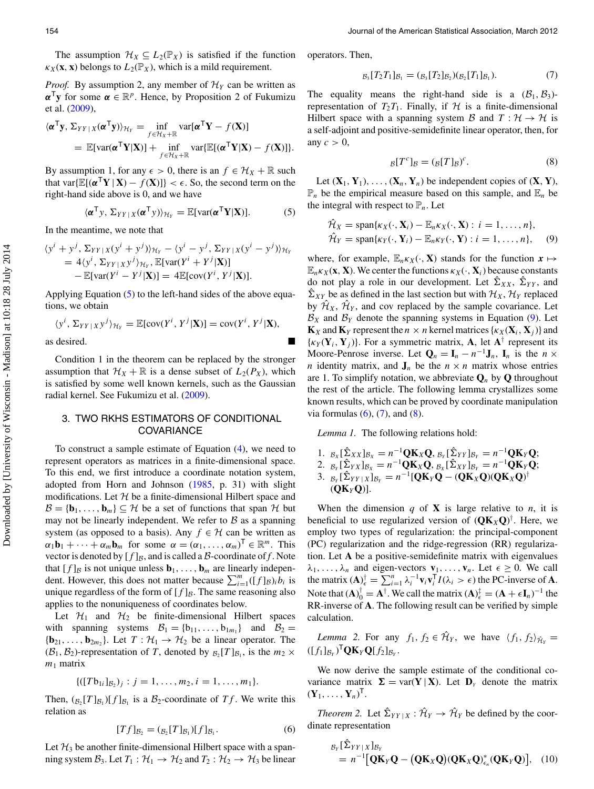The assumption  $\mathcal{H}_X \subseteq L_2(\mathbb{P}_X)$  is satisfied if the function  $\kappa_X(\mathbf{x}, \mathbf{x})$  belongs to  $L_2(\mathbb{P}_X)$ , which is a mild requirement.

*Proof.* By assumption 2, any member of  $\mathcal{H}_Y$  can be written as  $\alpha^{\mathsf{T}}$ **y** for some  $\alpha \in \mathbb{R}^p$ . Hence, by Proposition 2 of Fukumizu et al. [\(2009\)](#page-15-13),

<span id="page-2-1"></span>
$$
\langle \boldsymbol{\alpha}^{\mathsf{T}} \mathbf{y}, \, \Sigma_{YY \,|\, X} (\boldsymbol{\alpha}^{\mathsf{T}} \mathbf{y}) \rangle_{\mathcal{H}_Y} = \inf_{f \in \mathcal{H}_X + \mathbb{R}} \text{var}[\boldsymbol{\alpha}^{\mathsf{T}} \mathbf{Y} - f(\mathbf{X})] \n= \mathbb{E}[\text{var}(\boldsymbol{\alpha}^{\mathsf{T}} \mathbf{Y} | \mathbf{X})] + \inf_{f \in \mathcal{H}_X + \mathbb{R}} \text{var} \{\mathbb{E}[(\boldsymbol{\alpha}^{\mathsf{T}} \mathbf{Y} | \mathbf{X}) - f(\mathbf{X})]\}.
$$

By assumption 1, for any  $\epsilon > 0$ , there is an  $f \in \mathcal{H}_X + \mathbb{R}$  such that var $\{\mathbb{E}[(\alpha^T Y | X) - f(X)]\} < \epsilon$ . So, the second term on the right-hand side above is 0, and we have

$$
\langle \boldsymbol{\alpha}^{\mathsf{T}} \boldsymbol{y}, \boldsymbol{\Sigma}_{YY|X}(\boldsymbol{\alpha}^{\mathsf{T}} \boldsymbol{y}) \rangle_{\mathcal{H}_{Y}} = \mathbb{E}[\text{var}(\boldsymbol{\alpha}^{\mathsf{T}} \mathbf{Y} | \mathbf{X})]. \tag{5}
$$

In the meantime, we note that

$$
\langle y^{i} + y^{j}, \Sigma_{YY|X}(y^{i} + y^{j}) \rangle_{\mathcal{H}_{Y}} - \langle y^{i} - y^{j}, \Sigma_{YY|X}(y^{i} - y^{j}) \rangle_{\mathcal{H}_{Y}} = 4 \langle y^{i}, \Sigma_{YY|X} y^{j} \rangle_{\mathcal{H}_{Y}}, \mathbb{E}[\text{var}(Y^{i} + Y^{j}|\mathbf{X})] - \mathbb{E}[\text{var}(Y^{i} - Y^{j}|\mathbf{X})] = 4 \mathbb{E}[\text{cov}(Y^{i}, Y^{j}|\mathbf{X})].
$$

Applying Equation (5) to the left-hand sides of the above equations, we obtain

$$
\langle y^i, \Sigma_{YY|X} y^j \rangle_{\mathcal{H}_Y} = \mathbb{E}[\text{cov}(Y^i, Y^j | \mathbf{X})] = \text{cov}(Y^i, Y^j | \mathbf{X}),
$$
as desired.

Condition 1 in the theorem can be replaced by the stronger assumption that  $\mathcal{H}_X + \mathbb{R}$  is a dense subset of  $L_2(P_X)$ , which is satisfied by some well known kernels, such as the Gaussian radial kernel. See Fukumizu et al. [\(2009\)](#page-15-13).

# 3. TWO RKHS ESTIMATORS OF CONDITIONAL **COVARIANCE**

To construct a sample estimate of Equation (4), we need to represent operators as matrices in a finite-dimensional space. To this end, we first introduce a coordinate notation system, adopted from Horn and Johnson [\(1985,](#page-15-14) p. 31) with slight modifications. Let *H* be a finite-dimensional Hilbert space and  $B = \{b_1, \ldots, b_m\} \subseteq \mathcal{H}$  be a set of functions that span  $\mathcal{H}$  but may not be linearly independent. We refer to  $\beta$  as a spanning system (as opposed to a basis). Any  $f \in H$  can be written as  $\alpha_1 \mathbf{b}_1 + \cdots + \alpha_m \mathbf{b}_m$  for some  $\alpha = (\alpha_1, \ldots, \alpha_m)^\top \in \mathbb{R}^m$ . This vector is denoted by  $[f]_B$ , and is called a *B*-coordinate of *f*. Note that  $[f]_B$  is not unique unless  $\mathbf{b}_1, \ldots, \mathbf{b}_m$  are linearly independent. However, this does not matter because  $\sum_{i=1}^{m}([f]_B)_i b_i$  is unique regardless of the form of  $[f]_B$ . The same reasoning also applies to the nonuniqueness of coordinates below.

Let  $\mathcal{H}_1$  and  $\mathcal{H}_2$  be finite-dimensional Hilbert spaces with spanning systems  $B_1 = \{b_{11}, \ldots, b_{1m_1}\}$  and  $B_2 =$  ${\bf \{b}_{21}, \ldots, b_{2m_2}\}.$  Let  $T : \mathcal{H}_1 \rightarrow \mathcal{H}_2$  be a linear operator. The  $(\mathcal{B}_1, \mathcal{B}_2)$ -representation of *T*, denoted by  $B_2[T]_{\mathcal{B}_1}$ , is the  $m_2 \times$  $m_1$  matrix

$$
\{([Tb_{1i}]_{B_2})_j : j = 1, \ldots, m_2, i = 1, \ldots, m_1\}.
$$

Then,  $(\mathfrak{g}_2[T]_{\mathcal{B}_1})[f]_{\mathcal{B}_1}$  is a  $\mathcal{B}_2$ -coordinate of  $Tf$ . We write this relation as

$$
[Tf]_{B_2} = (B_2[T]_{B_1})[f]_{B_1}.
$$
 (6)

Let  $H_3$  be another finite-dimensional Hilbert space with a spanning system  $B_3$ . Let  $T_1 : \mathcal{H}_1 \to \mathcal{H}_2$  and  $T_2 : \mathcal{H}_2 \to \mathcal{H}_3$  be linear operators. Then,

$$
B_3[T_2T_1]B_1 = (B_3[T_2]B_2)(B_2[T_1]B_1). \tag{7}
$$

The equality means the right-hand side is a  $(\mathcal{B}_1, \mathcal{B}_3)$ representation of  $T_2T_1$ . Finally, if  $H$  is a finite-dimensional Hilbert space with a spanning system *B* and  $T : \mathcal{H} \to \mathcal{H}$  is a self-adjoint and positive-semidefinite linear operator, then, for any  $c > 0$ ,

$$
B[Tc]B = (B[T]B)c.
$$
 (8)

Let  $(\mathbf{X}_1, \mathbf{Y}_1), \ldots, (\mathbf{X}_n, \mathbf{Y}_n)$  be independent copies of  $(\mathbf{X}, \mathbf{Y})$ ,  $\mathbb{P}_n$  be the empirical measure based on this sample, and  $\mathbb{E}_n$  be the integral with respect to  $\mathbb{P}_n$ . Let

$$
\hat{\mathcal{H}}_X = \text{span}\{\kappa_X(\cdot, \mathbf{X}_i) - \mathbb{E}_n \kappa_X(\cdot, \mathbf{X}) : i = 1, ..., n\},
$$
  

$$
\hat{\mathcal{H}}_Y = \text{span}\{\kappa_Y(\cdot, \mathbf{Y}_i) - \mathbb{E}_n \kappa_Y(\cdot, \mathbf{Y}) : i = 1, ..., n\},
$$
 (9)

where, for example,  $\mathbb{E}_n \kappa_X(\cdot, \mathbf{X})$  stands for the function  $\mathbf{x} \mapsto$  $\mathbb{E}_{n}K_{X}(\mathbf{x}, \mathbf{X})$ . We center the functions  $K_{X}(\cdot, \mathbf{X}_{i})$  because constants do not play a role in our development. Let  $\hat{\Sigma}_{XX}$ ,  $\hat{\Sigma}_{YY}$ , and  $\hat{\Sigma}_{XY}$  be as defined in the last section but with  $\mathcal{H}_X$ ,  $\mathcal{H}_Y$  replaced by  $\mathcal{H}_X$ ,  $\mathcal{H}_Y$ , and cov replaced by the sample covariance. Let  $B_X$  and  $B_Y$  denote the spanning systems in Equation (9). Let  $\mathbf{K}_X$  and  $\mathbf{K}_Y$  represent the  $n \times n$  kernel matrices  $\{\kappa_X(\mathbf{X}_i, \mathbf{X}_j)\}$  and  $\{\kappa_Y(\mathbf{Y}_i, \mathbf{Y}_j)\}\$ . For a symmetric matrix, **A**, let  $\mathbf{A}^\dagger$  represent its Moore-Penrose inverse. Let  $\mathbf{Q}_n = \mathbf{I}_n - n^{-1} \mathbf{J}_n$ ,  $\mathbf{I}_n$  is the  $n \times$ *n* identity matrix, and  $J_n$  be the  $n \times n$  matrix whose entries are 1. To simplify notation, we abbreviate  $Q_n$  by  $Q$  throughout the rest of the article. The following lemma crystallizes some known results, which can be proved by coordinate manipulation via formulas  $(6)$ ,  $(7)$ , and  $(8)$ .

<span id="page-2-0"></span>*Lemma 1.* The following relations hold:

1. 
$$
B_x[\hat{\Sigma}_X X]B_x = n^{-1}QK_XQ, B_y[\hat{\Sigma}_{YY}]B_y = n^{-1}QK_YQ;
$$
  
\n2. 
$$
B_y[\hat{\Sigma}_{YX}]B_x = n^{-1}QK_XQ, B_x[\hat{\Sigma}_{XY}]B_y = n^{-1}QK_YQ;
$$
  
\n3. 
$$
B_y[\hat{\Sigma}_{YY|X}]B_y = n^{-1}[QK_YQ - (QK_XQ)(QK_XQ)^{\dagger}
$$
  
\n
$$
(QK_YQ)].
$$

<span id="page-2-2"></span>When the dimension  $q$  of  $X$  is large relative to  $n$ , it is beneficial to use regularized version of  $(QK_XQ)^{\dagger}$ . Here, we employ two types of regularization: the principal-component (PC) regularization and the ridge-regression (RR) regularization. Let **A** be a positive-semidefinite matrix with eigenvalues  $\lambda_1, \ldots, \lambda_n$  and eigen-vectors  $\mathbf{v}_1, \ldots, \mathbf{v}_n$ . Let  $\epsilon \geq 0$ . We call the matrix  $(A)_{\epsilon}^{\dagger} = \sum_{i=1}^{n} \lambda_i^{-1} \mathbf{v}_i \mathbf{v}_i^{\dagger} I(\lambda_i > \epsilon)$  the PC-inverse of **A**. Note that  $(A)_{0}^{\dagger} = A^{\dagger}$ . We call the matrix  $(A)_{\epsilon}^{\dagger} = (A + \epsilon I_{n})^{-1}$  the RR-inverse of **A**. The following result can be verified by simple calculation.

*Lemma 2.* For any  $f_1, f_2 \in \hat{\mathcal{H}}_Y$ , we have  $\langle f_1, f_2 \rangle_{\hat{\mathcal{H}}_Y}$  =  $([f_1]_{\mathcal{B}_Y})^{\mathsf{T}} \mathbf{Q} \mathbf{K}_Y \mathbf{Q}[f_2]_{\mathcal{B}_Y}.$ 

We now derive the sample estimate of the conditional covariance matrix  $\Sigma = \text{var}(Y | X)$ . Let  $D<sub>y</sub>$  denote the matrix  $(\mathbf{Y}_1,\ldots,\mathbf{Y}_n)^\mathsf{T}$ .

*Theorem 2.* Let  $\hat{\Sigma}_{YY|X}$ :  $\hat{\mathcal{H}}_Y \rightarrow \hat{\mathcal{H}}_Y$  be defined by the coordinate representation

$$
B_{Y}[\hat{\Sigma}_{YY|X}]B_{Y}
$$
  
=  $n^{-1}[\mathbf{Q}\mathbf{K}_{Y}\mathbf{Q} - (\mathbf{Q}\mathbf{K}_{X}\mathbf{Q})(\mathbf{Q}\mathbf{K}_{X}\mathbf{Q})_{\epsilon_{n}}^{*}(\mathbf{Q}\mathbf{K}_{Y}\mathbf{Q})],$  (10)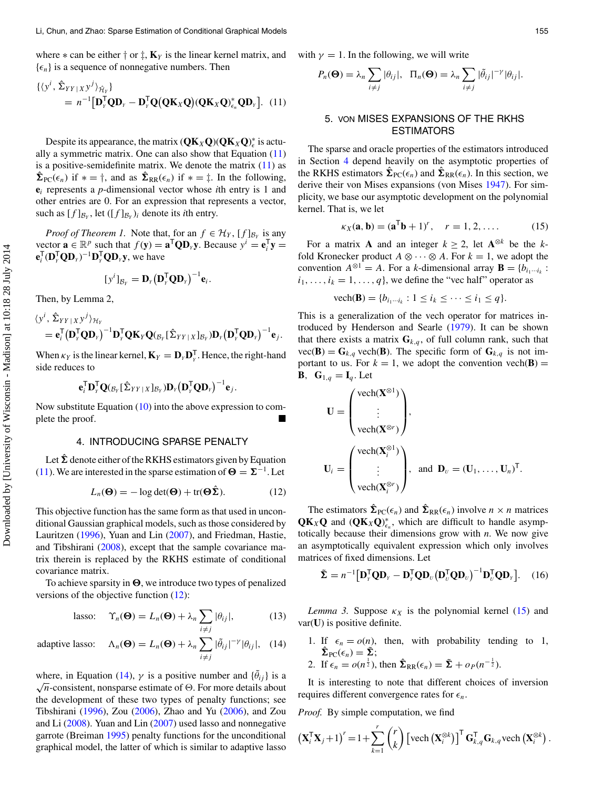where  $*$  can be either  $\dagger$  or  $\ddagger$ ,  $\mathbf{K}_Y$  is the linear kernel matrix, and  $\{\epsilon_n\}$  is a sequence of nonnegative numbers. Then

$$
\begin{aligned} \{ \langle y^i, \hat{\Sigma}_{YY|X} y^j \rangle_{\hat{\mathcal{H}}_Y} \} \\ &= n^{-1} [\mathbf{D}_Y^\mathsf{T} \mathbf{Q} \mathbf{D}_Y - \mathbf{D}_Y^\mathsf{T} \mathbf{Q} (\mathbf{Q} \mathbf{K}_X \mathbf{Q}) (\mathbf{Q} \mathbf{K}_X \mathbf{Q})_{\epsilon_n}^* \mathbf{Q} \mathbf{D}_Y ]. \end{aligned} \tag{11}
$$

Despite its appearance, the matrix  $(QK_XQ)(QK_XQ)^*_{\epsilon}$  is actually a symmetric matrix. One can also show that Equation (11) is a positive-semidefinite matrix. We denote the matrix  $(11)$  as  $\hat{\Sigma}_{\text{PC}}(\epsilon_n)$  if  $* = \dagger$ , and as  $\hat{\Sigma}_{\text{RR}}(\epsilon_n)$  if  $* = \dagger$ . In the following, **e**<sup>i</sup> represents a *p*-dimensional vector whose *i*th entry is 1 and other entries are 0. For an expression that represents a vector, such as  $[f]_{\mathcal{B}_Y}$ , let  $([f]_{\mathcal{B}_Y})_i$  denote its *i*th entry.

*Proof of Theorem 1.* Note that, for an  $f \in \mathcal{H}_Y$ ,  $[f]_{\mathcal{B}_Y}$  is any vector  $\mathbf{a} \in \mathbb{R}^p$  such that  $f(\mathbf{y}) = \mathbf{a}^\mathsf{T} \mathbf{Q} \mathbf{D}_y \mathbf{y}$ . Because  $y^i = \mathbf{e}_i^\mathsf{T} \mathbf{y} =$  $\mathbf{e}_i^{\mathsf{T}}(\mathbf{D}_Y^{\mathsf{T}}\mathbf{Q}\mathbf{D}_Y)^{-1}\mathbf{D}_Y^{\mathsf{T}}\mathbf{Q}\mathbf{D}_Y\mathbf{y}$ , we have

$$
[y^i]_{\mathcal{B}_Y} = \mathbf{D}_Y \big(\mathbf{D}_Y^{\mathsf{T}} \mathbf{Q} \mathbf{D}_Y\big)^{-1} \mathbf{e}_i.
$$

Then, by Lemma 2,

$$
\langle y^{i}, \hat{\Sigma}_{YY|XY}^{j} \rangle_{\mathcal{H}_{Y}} = \mathbf{e}_{i}^{\mathsf{T}} (\mathbf{D}_{Y}^{\mathsf{T}} \mathbf{Q} \mathbf{D}_{Y})^{-1} \mathbf{D}_{Y}^{\mathsf{T}} \mathbf{Q} \mathbf{K}_{Y} \mathbf{Q} (B_{Y} [\hat{\Sigma}_{YY|X}] B_{Y}) \mathbf{D}_{Y} (\mathbf{D}_{Y}^{\mathsf{T}} \mathbf{Q} \mathbf{D}_{Y})^{-1} \mathbf{e}_{j}.
$$

When  $\kappa_Y$  is the linear kernel,  $\mathbf{K}_Y = \mathbf{D}_Y \mathbf{D}_Y^T$ . Hence, the right-hand side reduces to

$$
\mathbf{e}_i^{\mathsf{T}} \mathbf{D}_{\scriptscriptstyle \boldsymbol{\gamma}}^{\mathsf{T}} \mathbf{Q}({}_{\mathcal{B}_Y}[\boldsymbol{\hat{\Sigma}}_{YY|X}]_{\mathcal{B}_Y}) \mathbf{D}_{\scriptscriptstyle \boldsymbol{\gamma}} \big(\mathbf{D}_{\scriptscriptstyle \boldsymbol{\gamma}}^{\mathsf{T}} \mathbf{Q} \mathbf{D}_{\scriptscriptstyle \boldsymbol{\gamma}}\big)^{-1} \mathbf{e}_j.
$$

Now substitute Equation  $(10)$  into the above expression to complete the proof.

#### 4. INTRODUCING SPARSE PENALTY

Let  $\hat{\Sigma}$  denote either of the RKHS estimators given by Equation (11). We are interested in the sparse estimation of  $\Theta = \Sigma^{-1}$ . Let

<span id="page-3-8"></span><span id="page-3-5"></span>
$$
L_n(\mathbf{\Theta}) = -\log \det(\mathbf{\Theta}) + \text{tr}(\mathbf{\Theta}\hat{\mathbf{\Sigma}}). \tag{12}
$$

This objective function has the same form as that used in unconditional Gaussian graphical models, such as those considered by Lauritzen [\(1996\)](#page-15-7), Yuan and Lin [\(2007\)](#page-15-1), and Friedman, Hastie, and Tibshirani [\(2008\)](#page-15-15), except that the sample covariance matrix therein is replaced by the RKHS estimate of conditional covariance matrix.

To achieve sparsity in  $\Theta$ , we introduce two types of penalized versions of the objective function (12):

<span id="page-3-3"></span>lasso: 
$$
\Upsilon_n(\mathbf{\Theta}) = L_n(\mathbf{\Theta}) + \lambda_n \sum_{i \neq j} |\theta_{ij}|,
$$
 (13)

adaptive lasso: 
$$
\Lambda_n(\mathbf{\Theta}) = L_n(\mathbf{\Theta}) + \lambda_n \sum_{i \neq j} |\tilde{\theta}_{ij}|^{-\gamma} |\theta_{ij}|,
$$
 (14)

<span id="page-3-11"></span><span id="page-3-10"></span><span id="page-3-7"></span><span id="page-3-2"></span>where, in Equation (14),  $\gamma$  is a positive number and  $\{\tilde{\theta}_{ij}\}\$ is a  $\sqrt{n}$ -consistent, nonsparse estimate of  $\Theta$ . For more details about the development of these two types of penalty functions; see Tibshirani [\(1996\)](#page-15-8), Zou [\(2006\)](#page-15-9), Zhao and Yu [\(2006\)](#page-15-16), and Zou and Li [\(2008\)](#page-15-17). Yuan and Lin [\(2007\)](#page-15-1) used lasso and nonnegative garrote (Breiman [1995\)](#page-15-18) penalty functions for the unconditional graphical model, the latter of which is similar to adaptive lasso

with  $\gamma = 1$ . In the following, we will write

$$
P_n(\mathbf{\Theta}) = \lambda_n \sum_{i \neq j} |\theta_{ij}|, \ \ \Pi_n(\mathbf{\Theta}) = \lambda_n \sum_{i \neq j} |\tilde{\theta}_{ij}|^{-\gamma} |\theta_{ij}|.
$$

# <span id="page-3-1"></span>5. VON MISES EXPANSIONS OF THE RKHS **ESTIMATORS**

The sparse and oracle properties of the estimators introduced in Section [4](#page-3-0) depend heavily on the asymptotic properties of the RKHS estimators  $\hat{\Sigma}_{\text{PC}}(\epsilon_n)$  and  $\hat{\Sigma}_{\text{RR}}(\epsilon_n)$ . In this section, we derive their von Mises expansions (von Mises [1947\)](#page-15-19). For simplicity, we base our asymptotic development on the polynomial kernel. That is, we let

<span id="page-3-6"></span>
$$
\kappa_X(\mathbf{a}, \mathbf{b}) = (\mathbf{a}^\mathsf{T} \mathbf{b} + 1)^r, \quad r = 1, 2, \dots \tag{15}
$$

For a matrix **A** and an integer  $k \ge 2$ , let  $\mathbf{A}^{\otimes k}$  be the *k*fold Kronecker product  $A \otimes \cdots \otimes A$ . For  $k = 1$ , we adopt the convention  $A^{\otimes 1} = A$ . For a *k*-dimensional array  $\mathbf{B} = \{b_{i_1\cdots i_k}\}$ .  $i_1, \ldots, i_k = 1, \ldots, q$ , we define the "vec half" operator as

<span id="page-3-4"></span>
$$
\text{vech}(\mathbf{B}) = \{b_{i_1 \cdots i_k} : 1 \le i_k \le \cdots \le i_1 \le q\}.
$$

This is a generalization of the vech operator for matrices introduced by Henderson and Searle [\(1979\)](#page-15-20). It can be shown that there exists a matrix  $\mathbf{G}_{k,q}$ , of full column rank, such that  $vec(\mathbf{B}) = \mathbf{G}_{k,q}$  vech( $\mathbf{B}$ ). The specific form of  $\mathbf{G}_{k,q}$  is not important to us. For  $k = 1$ , we adopt the convention vech(**B**) = **B**,  $\mathbf{G}_{1,q} = \mathbf{I}_q$ . Let

$$
\mathbf{U} = \begin{pmatrix} \text{vech}(\mathbf{X}^{\otimes 1}) \\ \vdots \\ \text{vech}(\mathbf{X}^{\otimes r}) \end{pmatrix},
$$

$$
\mathbf{U}_i = \begin{pmatrix} \text{vech}(\mathbf{X}_i^{\otimes 1}) \\ \vdots \\ \text{vech}(\mathbf{X}_i^{\otimes r}) \end{pmatrix}, \text{ and } \mathbf{D}_v = (\mathbf{U}_1, \dots, \mathbf{U}_n)^{\mathsf{T}}.
$$

<span id="page-3-0"></span>The estimators  $\hat{\Sigma}_{\text{PC}}(\epsilon_n)$  and  $\hat{\Sigma}_{\text{RR}}(\epsilon_n)$  involve  $n \times n$  matrices  $\mathbf{Q}\mathbf{K}_X\mathbf{Q}$  and  $(\mathbf{Q}\mathbf{K}_X\mathbf{Q})^*_{\epsilon_n}$ , which are difficult to handle asymptotically because their dimensions grow with *n*. We now give an asymptotically equivalent expression which only involves matrices of fixed dimensions. Let

$$
\tilde{\mathbf{\Sigma}} = n^{-1} [\mathbf{D}_{\nu}^{\mathsf{T}} \mathbf{Q} \mathbf{D}_{\nu} - \mathbf{D}_{\nu}^{\mathsf{T}} \mathbf{Q} \mathbf{D}_{\nu} (\mathbf{D}_{\nu}^{\mathsf{T}} \mathbf{Q} \mathbf{D}_{\nu})^{-1} \mathbf{D}_{\nu}^{\mathsf{T}} \mathbf{Q} \mathbf{D}_{\nu}].
$$
 (16)

*Lemma 3.* Suppose  $\kappa_X$  is the polynomial kernel (15) and var(**U**) is positive definite.

- 1. If  $\epsilon_n = o(n)$ , then, with probability tending to 1,  $\hat{\Sigma}_{\text{PC}}(\epsilon_n) = \tilde{\Sigma};$
- 2. If  $\epsilon_n = o(n^{\frac{1}{2}})$ , then  $\hat{\Sigma}_{RR}(\epsilon_n) = \tilde{\Sigma} + o_P(n^{-\frac{1}{2}})$ .

It is interesting to note that different choices of inversion requires different convergence rates for  $\epsilon_n$ .

<span id="page-3-9"></span>*Proof.* By simple computation, we find

$$
\left(\mathbf{X}_i^{\mathsf{T}}\mathbf{X}_j + 1\right)^r = 1 + \sum_{k=1}^r \binom{r}{k} \left[\text{vech}\left(\mathbf{X}_i^{\otimes k}\right)\right]^{\mathsf{T}} \mathbf{G}_{k,q}^{\mathsf{T}} \mathbf{G}_{k,q} \text{vech}\left(\mathbf{X}_i^{\otimes k}\right).
$$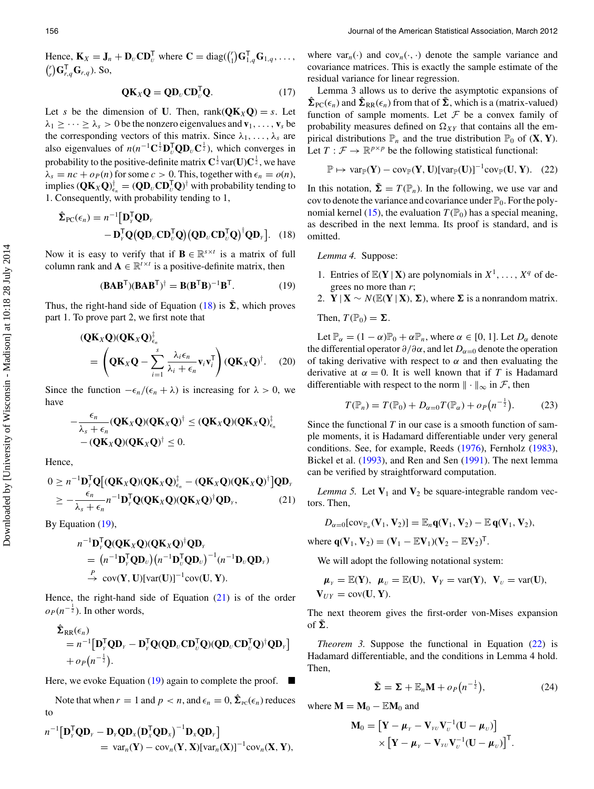Hence,  $\mathbf{K}_X = \mathbf{J}_n + \mathbf{D}_U \mathbf{CD}_U^{\mathsf{T}}$  where  $\mathbf{C} = \text{diag}(\begin{pmatrix} r \\ 1 \end{pmatrix} \mathbf{G}_{1,q}^{\mathsf{T}} \mathbf{G}_{1,q}, \dots,$  $\binom{r}{r} \mathbf{G}_{r,q}^{\mathsf{T}} \mathbf{G}_{r,q}$ ). So,

$$
\mathbf{Q}\mathbf{K}_X\mathbf{Q} = \mathbf{Q}\mathbf{D}_U\mathbf{C}\mathbf{D}_U^{\mathsf{T}}\mathbf{Q}.
$$
 (17)

Let *s* be the dimension of **U**. Then, rank( $QK_XQ$ ) = *s*. Let  $\lambda_1 \geq \cdots \geq \lambda_s > 0$  be the nonzero eigenvalues and  $\mathbf{v}_1, \ldots, \mathbf{v}_s$  be the corresponding vectors of this matrix. Since  $\lambda_1, \ldots, \lambda_s$  are also eigenvalues of  $n(n^{-1}C^{\frac{1}{2}}D_U^TQD_UC^{\frac{1}{2}})$ , which converges in probability to the positive-definite matrix  $\mathbf{C}^{\frac{1}{2}}$  var(**U**) $\mathbf{C}^{\frac{1}{2}}$  , we have  $\lambda_s = nc + o_P(n)$  for some  $c > 0$ . This, together with  $\epsilon_n = o(n)$ ,  $\text{implies} (\mathbf{Q}\mathbf{K}_X\mathbf{Q})_{\epsilon_n}^{\dagger} = (\mathbf{Q}\mathbf{D}_U\mathbf{C}\mathbf{D}_U^{\mathsf{T}}\mathbf{Q})^{\dagger}$  with probability tending to 1. Consequently, with probability tending to 1,

$$
\hat{\Sigma}_{PC}(\epsilon_n) = n^{-1} [\mathbf{D}_{Y}^{\mathsf{T}} \mathbf{Q} \mathbf{D}_{Y} - \mathbf{D}_{Y}^{\mathsf{T}} \mathbf{Q} (\mathbf{Q} \mathbf{D}_{U} \mathbf{C} \mathbf{D}_{U}^{\mathsf{T}} \mathbf{Q}) (\mathbf{Q} \mathbf{D}_{U} \mathbf{C} \mathbf{D}_{U}^{\mathsf{T}} \mathbf{Q})^{\dagger} \mathbf{Q} \mathbf{D}_{Y}].
$$
 (18)

Now it is easy to verify that if **B**  $\in \mathbb{R}^{s \times t}$  is a matrix of full column rank and  $\mathbf{A} \in \mathbb{R}^{t \times t}$  is a positive-definite matrix, then

$$
(\mathbf{BAB}^{\mathsf{T}})(\mathbf{BAB}^{\mathsf{T}})^{\dagger} = \mathbf{B}(\mathbf{B}^{\mathsf{T}}\mathbf{B})^{-1}\mathbf{B}^{\mathsf{T}}.
$$
 (19)

Thus, the right-hand side of Equation (18) is  $\tilde{\Sigma}$ , which proves part 1. To prove part 2, we first note that

$$
(\mathbf{Q}\mathbf{K}_{X}\mathbf{Q})(\mathbf{Q}\mathbf{K}_{X}\mathbf{Q})_{\epsilon_{n}}^{\mathsf{T}}
$$
  
= 
$$
\left(\mathbf{Q}\mathbf{K}_{X}\mathbf{Q}-\sum_{i=1}^{s}\frac{\lambda_{i}\epsilon_{n}}{\lambda_{i}+\epsilon_{n}}\mathbf{v}_{i}\mathbf{v}_{i}^{\mathsf{T}}\right)(\mathbf{Q}\mathbf{K}_{X}\mathbf{Q})^{\dagger}.
$$
 (20)

Since the function  $-\epsilon_n/(\epsilon_n + \lambda)$  is increasing for  $\lambda > 0$ , we have

$$
-\frac{\epsilon_n}{\lambda_s+\epsilon_n}(\mathbf{Q}\mathbf{K}_X\mathbf{Q})(\mathbf{Q}\mathbf{K}_X\mathbf{Q})^{\dagger} \leq (\mathbf{Q}\mathbf{K}_X\mathbf{Q})(\mathbf{Q}\mathbf{K}_X\mathbf{Q})^{\dagger}_{\epsilon_n} -(\mathbf{Q}\mathbf{K}_X\mathbf{Q})(\mathbf{Q}\mathbf{K}_X\mathbf{Q})^{\dagger} \leq 0.
$$

Hence,

$$
0 \ge n^{-1} \mathbf{D}_{Y}^{\mathsf{T}} \mathbf{Q} \big[ (\mathbf{Q} \mathbf{K}_{X} \mathbf{Q}) (\mathbf{Q} \mathbf{K}_{X} \mathbf{Q})_{\epsilon_{n}}^{\dagger} - (\mathbf{Q} \mathbf{K}_{X} \mathbf{Q}) (\mathbf{Q} \mathbf{K}_{X} \mathbf{Q})^{\dagger} \big] \mathbf{Q} \mathbf{D}_{Y} \n\ge -\frac{\epsilon_{n}}{\lambda_{s} + \epsilon_{n}} n^{-1} \mathbf{D}_{Y}^{\mathsf{T}} \mathbf{Q} (\mathbf{Q} \mathbf{K}_{X} \mathbf{Q}) (\mathbf{Q} \mathbf{K}_{X} \mathbf{Q})^{\dagger} \mathbf{Q} \mathbf{D}_{Y},
$$
\n(21)

By Equation (19),

$$
n^{-1} \mathbf{D}_{\mathbf{y}}^{\mathsf{T}} \mathbf{Q}(\mathbf{Q} \mathbf{K}_{\mathbf{X}} \mathbf{Q})(\mathbf{Q} \mathbf{K}_{\mathbf{X}} \mathbf{Q})^{\dagger} \mathbf{Q} \mathbf{D}_{\mathbf{y}} = (n^{-1} \mathbf{D}_{\mathbf{y}}^{\mathsf{T}} \mathbf{Q} \mathbf{D}_{\mathbf{y}}) (n^{-1} \mathbf{D}_{\mathbf{y}}^{\mathsf{T}} \mathbf{Q} \mathbf{D}_{\mathbf{y}})^{-1} (n^{-1} \mathbf{D}_{\mathbf{y}} \mathbf{Q} \mathbf{D}_{\mathbf{y}}) \n\xrightarrow{P} \text{cov}(\mathbf{Y}, \mathbf{U})[\text{var}(\mathbf{U})]^{-1} \text{cov}(\mathbf{U}, \mathbf{Y}).
$$

Hence, the right-hand side of Equation  $(21)$  is of the order  $o_P (n^{-\frac{1}{2}})$ . In other words,

$$
\hat{\Sigma}_{RR}(\epsilon_n) \n= n^{-1} [\mathbf{D}_{\gamma}^{\mathsf{T}} \mathbf{Q} \mathbf{D}_{\gamma} - \mathbf{D}_{\gamma}^{\mathsf{T}} \mathbf{Q} (\mathbf{Q} \mathbf{D}_{\upsilon} \mathbf{C} \mathbf{D}_{\upsilon}^{\mathsf{T}} \mathbf{Q}) (\mathbf{Q} \mathbf{D}_{\upsilon} \mathbf{C} \mathbf{D}_{\upsilon}^{\mathsf{T}} \mathbf{Q})^{\dagger} \mathbf{Q} \mathbf{D}_{\gamma} ] \n+ o_P (n^{-\frac{1}{2}}).
$$

Here, we evoke Equation (19) again to complete the proof.  $\blacksquare$ 

Note that when  $r = 1$  and  $p < n$ , and  $\epsilon_n = 0$ ,  $\hat{\Sigma}_{\text{PC}}(\epsilon_n)$  reduces to

$$
n^{-1} \left[ \mathbf{D}_{Y}^{\mathsf{T}} \mathbf{Q} \mathbf{D}_{Y} - \mathbf{D}_{Y} \mathbf{Q} \mathbf{D}_{X} (\mathbf{D}_{X}^{\mathsf{T}} \mathbf{Q} \mathbf{D}_{X})^{-1} \mathbf{D}_{X} \mathbf{Q} \mathbf{D}_{Y} \right]
$$
  
= 
$$
\text{var}_{n}(\mathbf{Y}) - \text{cov}_{n}(\mathbf{Y}, \mathbf{X}) [\text{var}_{n}(\mathbf{X})]^{-1} \text{cov}_{n}(\mathbf{X}, \mathbf{Y}),
$$

where  $var_n(\cdot)$  and  $cov_n(\cdot, \cdot)$  denote the sample variance and covariance matrices. This is exactly the sample estimate of the residual variance for linear regression.

Lemma 3 allows us to derive the asymptotic expansions of  $\hat{\Sigma}_{\text{PC}}(\epsilon_n)$  and  $\hat{\Sigma}_{\text{RR}}(\epsilon_n)$  from that of  $\tilde{\Sigma}$ , which is a (matrix-valued) function of sample moments. Let  $F$  be a convex family of probability measures defined on  $\Omega_{XY}$  that contains all the empirical distributions  $\mathbb{P}_n$  and the true distribution  $\mathbb{P}_0$  of  $(\mathbf{X}, \mathbf{Y})$ . Let  $T : \mathcal{F} \to \mathbb{R}^{p \times p}$  be the following statistical functional:

$$
\mathbb{P} \mapsto \text{var}_{\mathbb{P}}(\mathbf{Y}) - \text{cov}_{\mathbb{P}}(\mathbf{Y}, \mathbf{U})[\text{var}_{\mathbb{P}}(\mathbf{U})]^{-1} \text{cov}_{\mathbb{P}}(\mathbf{U}, \mathbf{Y}). \quad (22)
$$

In this notation,  $\tilde{\Sigma} = T(\mathbb{P}_n)$ . In the following, we use var and cov to denote the variance and covariance under  $\mathbb{P}_0$ . For the polynomial kernel (15), the evaluation  $T(\mathbb{P}_0)$  has a special meaning, as described in the next lemma. Its proof is standard, and is omitted.

*Lemma 4.* Suppose:

- 1. Entries of  $\mathbb{E}(\mathbf{Y} | \mathbf{X})$  are polynomials in  $X^1, \ldots, X^q$  of degrees no more than *r*;
- 2. **Y** | **X** ∼  $N(\mathbb{E}(Y | X), \Sigma)$ , where  $\Sigma$  is a nonrandom matrix.

Then,  $T(\mathbb{P}_0) = \Sigma$ .

Let  $\mathbb{P}_{\alpha} = (1 - \alpha)\mathbb{P}_{0} + \alpha \mathbb{P}_{n}$ , where  $\alpha \in [0, 1]$ . Let  $D_{\alpha}$  denote the differential operator  $\partial/\partial \alpha$ , and let  $D_{\alpha=0}$  denote the operation of taking derivative with respect to  $\alpha$  and then evaluating the derivative at  $\alpha = 0$ . It is well known that if *T* is Hadamard differentiable with respect to the norm  $\|\cdot\|_{\infty}$  in *F*, then

<span id="page-4-3"></span><span id="page-4-2"></span><span id="page-4-1"></span>
$$
T(\mathbb{P}_n) = T(\mathbb{P}_0) + D_{\alpha=0} T(\mathbb{P}_\alpha) + o_P(n^{-\frac{1}{2}}). \tag{23}
$$

Since the functional *T* in our case is a smooth function of sample moments, it is Hadamard differentiable under very general conditions. See, for example, Reeds [\(1976\)](#page-15-21), Fernholz [\(1983\)](#page-15-22), Bickel et al. [\(1993\)](#page-15-23), and Ren and Sen [\(1991\)](#page-15-24). The next lemma can be verified by straightforward computation.

<span id="page-4-0"></span>*Lemma 5.* Let  $V_1$  and  $V_2$  be square-integrable random vectors. Then,

$$
D_{\alpha=0}[\mathrm{cov}_{\mathbb{P}_{\alpha}}(\mathbf{V}_1,\mathbf{V}_2)] = \mathbb{E}_n \mathbf{q}(\mathbf{V}_1,\mathbf{V}_2) - \mathbb{E} \mathbf{q}(\mathbf{V}_1,\mathbf{V}_2),
$$

where  $q(V_1, V_2) = (V_1 - \mathbb{E}V_1)(V_2 - \mathbb{E}V_2)^T$ .

We will adopt the following notational system:

$$
\mu_Y = \mathbb{E}(\mathbf{Y}), \ \mu_U = \mathbb{E}(\mathbf{U}), \ \mathbf{V}_Y = \text{var}(\mathbf{Y}), \ \mathbf{V}_U = \text{var}(\mathbf{U}),
$$
\n $\mathbf{V}_{UY} = \text{cov}(\mathbf{U}, \mathbf{Y}).$ 

The next theorem gives the first-order von-Mises expansion of  $\tilde{\Sigma}$ .

*Theorem 3.* Suppose the functional in Equation (22) is Hadamard differentiable, and the conditions in Lemma 4 hold. Then,

$$
\tilde{\Sigma} = \Sigma + \mathbb{E}_n \mathbf{M} + o_P(n^{-\frac{1}{2}}),\tag{24}
$$

where  $M = M_0 - EM_0$  and

$$
\mathbf{M}_0 = \left[ \mathbf{Y} - \boldsymbol{\mu}_{\scriptscriptstyle Y} - \mathbf{V}_{\scriptscriptstyle YU} \mathbf{V}_{\scriptscriptstyle U}^{-1} (\mathbf{U} - \boldsymbol{\mu}_{\scriptscriptstyle U}) \right] \times \left[ \mathbf{Y} - \boldsymbol{\mu}_{\scriptscriptstyle Y} - \mathbf{V}_{\scriptscriptstyle YU} \mathbf{V}_{\scriptscriptstyle U}^{-1} (\mathbf{U} - \boldsymbol{\mu}_{\scriptscriptstyle U}) \right]^{\mathsf{T}}.
$$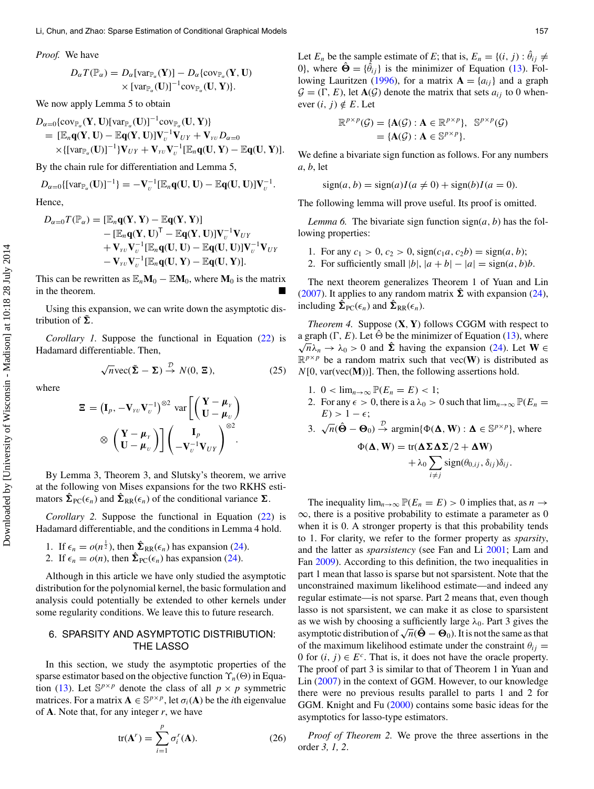*Proof.* We have

$$
D_{\alpha}T(\mathbb{P}_{\alpha}) = D_{\alpha}[\text{var}_{\mathbb{P}_{\alpha}}(\mathbf{Y})] - D_{\alpha}\{\text{cov}_{\mathbb{P}_{\alpha}}(\mathbf{Y}, \mathbf{U}) \times [\text{var}_{\mathbb{P}_{\alpha}}(\mathbf{U})]^{-1}\text{cov}_{\mathbb{P}_{\alpha}}(\mathbf{U}, \mathbf{Y})\}.
$$

We now apply Lemma 5 to obtain

$$
D_{\alpha=0}\{\text{cov}_{\mathbb{P}_{\alpha}}(\mathbf{Y},\mathbf{U})[\text{var}_{\mathbb{P}_{\alpha}}(\mathbf{U})]^{-1}\text{cov}_{\mathbb{P}_{\alpha}}(\mathbf{U},\mathbf{Y})\}\n= [\mathbb{E}_n\mathbf{q}(\mathbf{Y},\mathbf{U}) - \mathbb{E}\mathbf{q}(\mathbf{Y},\mathbf{U})]\mathbf{V}_{\scriptscriptstyle U}^{-1}\mathbf{V}_{\scriptscriptstyle UV} + \mathbf{V}_{\scriptscriptstyle \text{VU}}D_{\alpha=0}\n\times\{[\text{var}_{\mathbb{P}_{\alpha}}(\mathbf{U})]^{-1}\} \mathbf{V}_{\scriptscriptstyle UV} + \mathbf{V}_{\scriptscriptstyle \text{VU}}\mathbf{V}_{\scriptscriptstyle U}^{-1}[\mathbb{E}_n\mathbf{q}(\mathbf{U},\mathbf{Y}) - \mathbb{E}\mathbf{q}(\mathbf{U},\mathbf{Y})].
$$

By the chain rule for differentiation and Lemma 5,

$$
D_{\alpha=0}\{[\mathrm{var}_{\mathbb{P}_{\alpha}}(\mathbf{U})]^{-1}\}=-\mathbf{V}_{\alpha}^{-1}[\mathbb{E}_{n}\mathbf{q}(\mathbf{U},\mathbf{U})-\mathbb{E}\mathbf{q}(\mathbf{U},\mathbf{U})]\mathbf{V}_{\alpha}^{-1}.
$$

Hence,

$$
D_{\alpha=0}T(\mathbb{P}_{\alpha}) = [\mathbb{E}_n \mathbf{q}(\mathbf{Y}, \mathbf{Y}) - \mathbb{E}\mathbf{q}(\mathbf{Y}, \mathbf{Y})] - [\mathbb{E}_n \mathbf{q}(\mathbf{Y}, \mathbf{U})^{\mathsf{T}} - \mathbb{E}\mathbf{q}(\mathbf{Y}, \mathbf{U})]\mathbf{V}_U^{-1}\mathbf{V}_{UY} + \mathbf{V}_{\scriptscriptstyle YU}\mathbf{V}_U^{-1} [\mathbb{E}_n \mathbf{q}(\mathbf{U}, \mathbf{U}) - \mathbb{E}\mathbf{q}(\mathbf{U}, \mathbf{U})]\mathbf{V}_U^{-1}\mathbf{V}_{UY} - \mathbf{V}_{\scriptscriptstyle YU}\mathbf{V}_U^{-1} [\mathbb{E}_n \mathbf{q}(\mathbf{U}, \mathbf{Y}) - \mathbb{E}\mathbf{q}(\mathbf{U}, \mathbf{Y})].
$$

This can be rewritten as  $\mathbb{E}_n \mathbf{M}_0 - \mathbb{E} \mathbf{M}_0$ , where  $\mathbf{M}_0$  is the matrix in the theorem.

Using this expansion, we can write down the asymptotic distribution of  $\tilde{\Sigma}$ .

*Corollary 1.* Suppose the functional in Equation (22) is Hadamard differentiable. Then,

$$
\sqrt{n}\text{vec}(\tilde{\Sigma} - \Sigma) \stackrel{\mathcal{D}}{\rightarrow} N(0, \Xi),\tag{25}
$$

where

$$
\Xi = (\mathbf{I}_p, -\mathbf{V}_{\scriptscriptstyle{YU}}\mathbf{V}_{\scriptscriptstyle{U}}^{-1})^{\otimes 2} \text{ var}\left[\begin{pmatrix} \mathbf{Y} - \boldsymbol{\mu}_{\scriptscriptstyle{Y}} \\ \mathbf{U} - \boldsymbol{\mu}_{\scriptscriptstyle{U}} \end{pmatrix} \right] \otimes \begin{pmatrix} \mathbf{Y} - \boldsymbol{\mu}_{\scriptscriptstyle{Y}} \\ \mathbf{U} - \boldsymbol{\mu}_{\scriptscriptstyle{Y}} \end{pmatrix} \right] \left(\begin{pmatrix} \mathbf{I}_p \\ -\mathbf{V}_{\scriptscriptstyle{U}}^{-1}\mathbf{V}_{\scriptscriptstyle{UY}} \end{pmatrix}^{\otimes 2}.
$$

By Lemma 3, Theorem 3, and Slutsky's theorem, we arrive at the following von Mises expansions for the two RKHS estimators  $\hat{\Sigma}_{\text{PC}}(\epsilon_n)$  and  $\hat{\Sigma}_{\text{RR}}(\epsilon_n)$  of the conditional variance  $\Sigma$ .

*Corollary 2.* Suppose the functional in Equation (22) is Hadamard differentiable, and the conditions in Lemma 4 hold.

\n- 1. If 
$$
\epsilon_n = o(n^{\frac{1}{2}})
$$
, then  $\hat{\Sigma}_{RR}(\epsilon_n)$  has expansion (24).
\n- 2. If  $\epsilon_n = o(n)$ , then  $\hat{\Sigma}_{PC}(\epsilon_n)$  has expansion (24).
\n

Although in this article we have only studied the asymptotic distribution for the polynomial kernel, the basic formulation and analysis could potentially be extended to other kernels under some regularity conditions. We leave this to future research.

# 6. SPARSITY AND ASYMPTOTIC DISTRIBUTION: THE LASSO

In this section, we study the asymptotic properties of the sparse estimator based on the objective function  $\Upsilon_n(\Theta)$  in Equation (13). Let  $\mathbb{S}^{p \times p}$  denote the class of all  $p \times p$  symmetric matrices. For a matrix  $\mathbf{A} \in \mathbb{S}^{p \times p}$ , let  $\sigma_i(\mathbf{A})$  be the *i*th eigenvalue of **A**. Note that, for any integer *r*, we have

<span id="page-5-0"></span>
$$
tr(\mathbf{A}^r) = \sum_{i=1}^p \sigma_i^r(\mathbf{A}).
$$
 (26)

Let  $E_n$  be the sample estimate of E; that is,  $E_n = \{(i, j) : \hat{\theta}_{ij} \neq j$ 0}, where  $\hat{\Theta} = {\{\hat{\theta}_{ij}\}}$  is the minimizer of Equation (13). Fol-lowing Lauritzen [\(1996\)](#page-15-7), for a matrix  $A = \{a_{ij}\}\$ and a graph  $G = (\Gamma, E)$ , let  $A(G)$  denote the matrix that sets  $a_{ij}$  to 0 whenever  $(i, j) \notin E$ . Let

<span id="page-5-4"></span>
$$
\mathbb{R}^{p \times p}(\mathcal{G}) = \{ \mathbf{A}(\mathcal{G}) : \mathbf{A} \in \mathbb{R}^{p \times p} \}, \mathbb{S}^{p \times p}(\mathcal{G})
$$
  
= 
$$
\{ \mathbf{A}(\mathcal{G}) : \mathbf{A} \in \mathbb{S}^{p \times p} \}.
$$

We define a bivariate sign function as follows. For any numbers *a*, *b*, let

$$
sign(a, b) = sign(a)I(a \neq 0) + sign(b)I(a = 0).
$$

The following lemma will prove useful. Its proof is omitted.

*Lemma 6.* The bivariate sign function  $sign(a, b)$  has the following properties:

- 1. For any  $c_1 > 0$ ,  $c_2 > 0$ ,  $sign(c_1a, c_2b) = sign(a, b)$ ;
- 2. For sufficiently small  $|b|$ ,  $|a + b| |a| = \text{sign}(a, b)b$ .

<span id="page-5-5"></span>The next theorem generalizes Theorem 1 of Yuan and Lin [\(2007\)](#page-15-1). It applies to any random matrix  $\hat{\Sigma}$  with expansion (24), including  $\hat{\Sigma}_{\text{PC}}(\epsilon_n)$  and  $\hat{\Sigma}_{\text{RR}}(\epsilon_n)$ .

*Theorem 4.* Suppose (**X**, **Y**) follows CGGM with respect to a graph  $(\Gamma, E)$ . Let  $\hat{\Theta}$  be the minimizer of Equation (13), where  $\sqrt{n}\lambda_n \to \lambda_0 > 0$  and  $\hat{\Sigma}$  having the expansion (24). Let **W**  $\in$  $\mathbb{R}^{p \times p}$  be a random matrix such that vec(**W**) is distributed as  $N[0, \text{var}(\text{vec}(\mathbf{M}))]$ . Then, the following assertions hold.

- 1.  $0 < \lim_{n \to \infty} \mathbb{P}(E_n = E) < 1;$
- 2. For any  $\epsilon > 0$ , there is a  $\lambda_0 > 0$  such that  $\lim_{n \to \infty} \mathbb{P}(E_n =$  $E$ ) > 1 –  $\epsilon$ ;
- 3.  $\sqrt{n}(\hat{\Theta} \Theta_0) \stackrel{\mathcal{D}}{\rightarrow} \text{argmin}\{\Phi(\Delta, W) : \Delta \in \mathbb{S}^{p \times p}\},\text{ where}$

<span id="page-5-1"></span>
$$
\Phi(\mathbf{\Delta}, \mathbf{W}) = \text{tr}(\mathbf{\Delta} \Sigma \mathbf{\Delta} \Sigma / 2 + \mathbf{\Delta} \mathbf{W}) + \lambda_0 \sum_{i \neq j} \text{sign}(\theta_{0,ij}, \delta_{ij}) \delta_{ij}.
$$

<span id="page-5-3"></span>The inequality  $\lim_{n\to\infty} \mathbb{P}(E_n = E) > 0$  implies that, as  $n \to$  $\infty$ , there is a positive probability to estimate a parameter as 0 when it is 0. A stronger property is that this probability tends to 1. For clarity, we refer to the former property as *sparsity*, and the latter as *sparsistency* (see Fan and Li [2001;](#page-15-25) Lam and Fan [2009\)](#page-15-5). According to this definition, the two inequalities in part 1 mean that lasso is sparse but not sparsistent. Note that the unconstrained maximum likelihood estimate—and indeed any regular estimate—is not sparse. Part 2 means that, even though lasso is not sparsistent, we can make it as close to sparsistent as we wish by choosing a sufficiently large  $\lambda_0$ . Part 3 gives the as we wish by choosing a sufficiently large  $\lambda_0$ . Fart 5 gives the asymptotic distribution of  $\sqrt{n}(\hat{\Theta} - \Theta_0)$ . It is not the same as that of the maximum likelihood estimate under the constraint  $\theta_{ij} =$ 0 for  $(i, j) \in E^c$ . That is, it does not have the oracle property. The proof of part 3 is similar to that of Theorem 1 in Yuan and Lin [\(2007\)](#page-15-1) in the context of GGM. However, to our knowledge there were no previous results parallel to parts 1 and 2 for GGM. Knight and Fu [\(2000\)](#page-15-26) contains some basic ideas for the asymptotics for lasso-type estimators.

<span id="page-5-2"></span>*Proof of Theorem 2.* We prove the three assertions in the order *3, 1, 2*.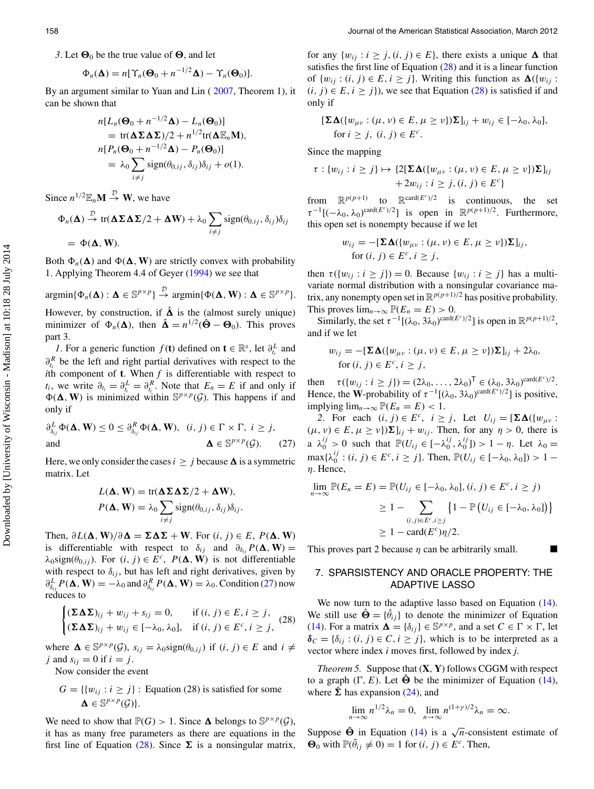3. Let  $\mathbf{\Theta}_0$  be the true value of  $\mathbf{\Theta}$ , and let

$$
\Phi_n(\mathbf{\Delta}) = n[\Upsilon_n(\mathbf{\Theta}_0 + n^{-1/2}\mathbf{\Delta}) - \Upsilon_n(\mathbf{\Theta}_0)].
$$

By an argument similar to Yuan and Lin ( [2007,](#page-15-1) Theorem 1), it can be shown that

$$
n[L_n(\Theta_0 + n^{-1/2}\Delta) - L_n(\Theta_0)]
$$
  
= tr( $\Delta \Sigma \Delta \Sigma$ )/2 + n<sup>1/2</sup>tr( $\Delta \mathbb{E}_n$ M),  

$$
n[P_n(\Theta_0 + n^{-1/2}\Delta) - P_n(\Theta_0)]
$$
  
=  $\lambda_0 \sum_{i \neq j} sign(\theta_{0,ij}, \delta_{ij})\delta_{ij} + o(1).$ 

Since  $n^{1/2} \mathbb{E}_n \mathbf{M} \stackrel{\mathcal{D}}{\rightarrow} \mathbf{W}$ , we have

$$
\Phi_n(\mathbf{\Delta}) \stackrel{\mathcal{D}}{\rightarrow} \text{tr}(\mathbf{\Delta} \Sigma \mathbf{\Delta} \Sigma / 2 + \mathbf{\Delta} \mathbf{W}) + \lambda_0 \sum_{i \neq j} \text{sign}(\theta_{0,ij}, \delta_{ij}) \delta_{ij}
$$
  
=  $\Phi(\mathbf{\Delta}, \mathbf{W}).$ 

Both  $\Phi_n(\Delta)$  and  $\Phi(\Delta, W)$  are strictly convex with probability 1. Applying Theorem 4.4 of Geyer [\(1994\)](#page-15-27) we see that

$$
\mathrm{argmin}\{\Phi_n(\mathbf{\Delta}): \mathbf{\Delta} \in \mathbb{S}^{p \times p}\} \stackrel{\mathcal{D}}{\rightarrow} \mathrm{argmin}\{\Phi(\mathbf{\Delta}, \mathbf{W}): \mathbf{\Delta} \in \mathbb{S}^{p \times p}\}.
$$

However, by construction, if  $\hat{\Delta}$  is the (almost surely unique) minimizer of  $\Phi_n(\mathbf{\Delta})$ , then  $\hat{\mathbf{\Delta}} = n^{1/2}(\hat{\mathbf{\Theta}} - \mathbf{\Theta}_0)$ . This proves part 3.

*1*. For a generic function  $f(t)$  defined on  $t \in \mathbb{R}^s$ , let  $\partial_t^L$  and  $\partial_{t_i}^R$  be the left and right partial derivatives with respect to the *i*th component of **t**. When  $f$  is differentiable with respect to  $t_i$ , we write  $\partial_{t_i} = \partial_{t_i}^L = \partial_{t_i}^R$ . Note that  $E_n = E$  if and only if  $\Phi(\Delta, W)$  is minimized within  $\mathbb{S}^{p \times p}(\mathcal{G})$ . This happens if and only if

$$
\partial_{\delta_{ij}}^L \Phi(\mathbf{\Delta}, \mathbf{W}) \le 0 \le \partial_{\delta_{ij}}^R \Phi(\mathbf{\Delta}, \mathbf{W}), \quad (i, j) \in \Gamma \times \Gamma, \ i \ge j,
$$
  
and  

$$
\mathbf{\Delta} \in \mathbb{S}^{p \times p}(\mathcal{G}). \tag{27}
$$

Here, we only consider the cases  $i \geq j$  because  $\Delta$  is a symmetric matrix. Let

$$
L(\mathbf{\Delta}, \mathbf{W}) = \text{tr}(\mathbf{\Delta} \Sigma \mathbf{\Delta} \Sigma / 2 + \mathbf{\Delta} \mathbf{W}),
$$
  

$$
P(\mathbf{\Delta}, \mathbf{W}) = \lambda_0 \sum_{i \neq j} \text{sign}(\theta_{0,ij}, \delta_{ij}) \delta_{ij}.
$$

Then,  $\partial L(\Delta, \mathbf{W})/\partial \Delta = \Sigma \Delta \Sigma + \mathbf{W}$ . For  $(i, j) \in E$ ,  $P(\Delta, \mathbf{W})$ is differentiable with respect to  $\delta_{ij}$  and  $\partial_{\delta_{ij}}P(\Delta, W) =$  $\lambda_0$ sign( $\theta_{0,ij}$ ). For  $(i, j) \in E^c$ ,  $P(\Delta, W)$  is not differentiable with respect to  $\delta_{ij}$ , but has left and right derivatives, given by  $\partial_{\delta_{ij}}^L P(\mathbf{\Delta}, \mathbf{W}) = -\lambda_0$  and  $\partial_{\delta_{ij}}^R P(\mathbf{\Delta}, \mathbf{W}) = \lambda_0$ . Condition (27) now reduces to

$$
\begin{cases}\n(\Sigma \Delta \Sigma)_{ij} + w_{ij} + s_{ij} = 0, & \text{if } (i, j) \in E, i \geq j, \\
(\Sigma \Delta \Sigma)_{ij} + w_{ij} \in [-\lambda_0, \lambda_0], & \text{if } (i, j) \in E^c, i \geq j,\n\end{cases}
$$
\n(28)

where  $\Delta \in \mathbb{S}^{p \times p}(\mathcal{G})$ ,  $s_{ij} = \lambda_0 \text{sign}(\theta_{0,ij})$  if  $(i, j) \in E$  and  $i \neq j$ j and  $s_{ij} = 0$  if  $i = j$ .

Now consider the event

$$
G = \{ \{w_{ij} : i \ge j\} : \text{Equation (28) is satisfied for some } \Delta \in \mathbb{S}^{p \times p}(\mathcal{G}) \}.
$$

We need to show that  $\mathbb{P}(G) > 1$ . Since  $\Delta$  belongs to  $\mathbb{S}^{p \times p}(\mathcal{G})$ , it has as many free parameters as there are equations in the first line of Equation (28). Since  $\Sigma$  is a nonsingular matrix, <span id="page-6-2"></span>for any  $\{w_{ij} : i \ge j, (i, j) \in E\}$ , there exists a unique  $\Delta$  that satisfies the first line of Equation  $(28)$  and it is a linear function of  $\{w_{ij} : (i, j) \in E, i \geq j\}$ . Writing this function as  $\Delta(\{w_{ij}\}$ :  $(i, j) \in E, i \geq j$ , we see that Equation (28) is satisfied if and only if

$$
[\Sigma \Delta(\{w_{\mu\nu} : (\mu, \nu) \in E, \mu \ge \nu\}) \Sigma]_{ij} + w_{ij} \in [-\lambda_0, \lambda_0],
$$
  
for  $i \ge j$ ,  $(i, j) \in E^c$ .

Since the mapping

$$
\tau : \{w_{ij} : i \geq j\} \mapsto \{2[\Sigma \Delta(\{w_{\mu\nu} : (\mu, \nu) \in E, \mu \geq \nu\})\Sigma]_{ij} +2w_{ij} : i \geq j, (i, j) \in E^c\}
$$

from  $\mathbb{R}^{p(p+1)}$  to  $\mathbb{R}^{\text{card}(E^c)/2}$  is continuous, the set  $\tau^{-1}[(-\lambda_0, \lambda_0)^{\text{card}(E^c)/2}]$  is open in  $\mathbb{R}^{p(p+1)/2}$ . Furthermore, this open set is nonempty because if we let

$$
w_{ij} = -[\Sigma \Delta(\{w_{\mu\nu} : (\mu, \nu) \in E, \mu \ge \nu\})\Sigma]_{ij},
$$
  
for  $(i, j) \in E^c, i \ge j$ ,

<span id="page-6-1"></span>then  $\tau({w_{ij} : i \geq j}) = 0$ . Because  ${w_{ij} : i \geq j}$  has a multivariate normal distribution with a nonsingular covariance matrix, any nonempty open set in  $\mathbb{R}^{p(p+1)/2}$  has positive probability. This proves  $\lim_{n\to\infty} \mathbb{P}(E_n = E) > 0$ .

Similarly, the set  $\tau^{-1}[(\lambda_0, 3\lambda_0)^{\text{card}(E^c)/2}]$  is open in  $\mathbb{R}^{p(p+1)/2}$ , and if we let

$$
w_{ij} = -[\Sigma \Delta(\{w_{\mu\nu} : (\mu, \nu) \in E, \mu \ge \nu\})\Sigma]_{ij} + 2\lambda_0,
$$
  
for  $(i, j) \in E^c, i \ge j$ ,

then  $\tau({w_{ij} : i \geq j}) = (2\lambda_0, ..., 2\lambda_0)^T \in (\lambda_0, 3\lambda_0)^{\text{card}(E^c)/2}.$ Hence, the W-probability of  $\tau^{-1}[(\lambda_0, 3\lambda_0)^{\text{card}(E^c)/2}]$  is positive, implying  $\lim_{n\to\infty} \mathbb{P}(E_n = E) < 1$ .

*2*. For each  $(i, j) \in E^c$ ,  $i \geq j$ , Let  $U_{ij} = [\Sigma \Delta (\{w_{\mu\nu}\})$ .  $(\mu, \nu) \in E, \mu \ge \nu$ } $\Sigma]_{ij} + w_{ij}$ . Then, for any  $\eta > 0$ , there is a  $\lambda_0^{ij} > 0$  such that  $\mathbb{P}(U_{ij} \in [-\lambda_0^{ij}, \lambda_0^{ij}]) > 1 - \eta$ . Let  $\lambda_0 =$  $\max\{\lambda_0^{ij} : (i, j) \in E^c, i \geq j\}.$  Then,  $\mathbb{P}(U_{ij} \in [-\lambda_0, \lambda_0]) > 1$  –  $\eta$ . Hence,

$$
\lim_{n \to \infty} \mathbb{P}(E_n = E) = \mathbb{P}(U_{ij} \in [-\lambda_0, \lambda_0], (i, j) \in E^c, i \ge j)
$$
  
\n
$$
\ge 1 - \sum_{(i,j) \in E^c, i \ge j} \{1 - \mathbb{P}(U_{ij} \in [-\lambda_0, \lambda_0])\}
$$
  
\n
$$
\ge 1 - \text{card}(E^c)\eta/2.
$$

This proves part 2 because  $\eta$  can be arbitrarily small.

# <span id="page-6-0"></span>7. SPARSISTENCY AND ORACLE PROPERTY: THE ADAPTIVE LASSO

We now turn to the adaptive lasso based on Equation  $(14)$ . We still use  $\hat{\Theta} = {\hat{\theta}_{ij}}$  to denote the minimizer of Equation (14). For a matrix  $\mathbf{\Delta} = {\delta_{ij}} \in \mathbb{S}^{p \times p}$ , and a set  $C \in \Gamma \times \Gamma$ , let  $\delta_C = \{\delta_{ij} : (i, j) \in C, i \geq j\}$ , which is to be interpreted as a vector where index *i* moves first, followed by index *j*.

*Theorem 5.* Suppose that (**X**, **Y**) follows CGGM with respect to a graph  $(\Gamma, E)$ . Let  $\hat{\Theta}$  be the minimizer of Equation (14), where  $\hat{\Sigma}$  has expansion (24), and

$$
\lim_{n\to\infty}n^{1/2}\lambda_n=0, \ \lim_{n\to\infty}n^{(1+\gamma)/2}\lambda_n=\infty.
$$

Suppose  $\tilde{\Theta}$  in Equation (14) is a  $\sqrt{n}$ -consistent estimate of  $\Theta_0$  with  $\mathbb{P}(\tilde{\theta}_{ij} \neq 0) = 1$  for  $(i, j) \in E^c$ . Then,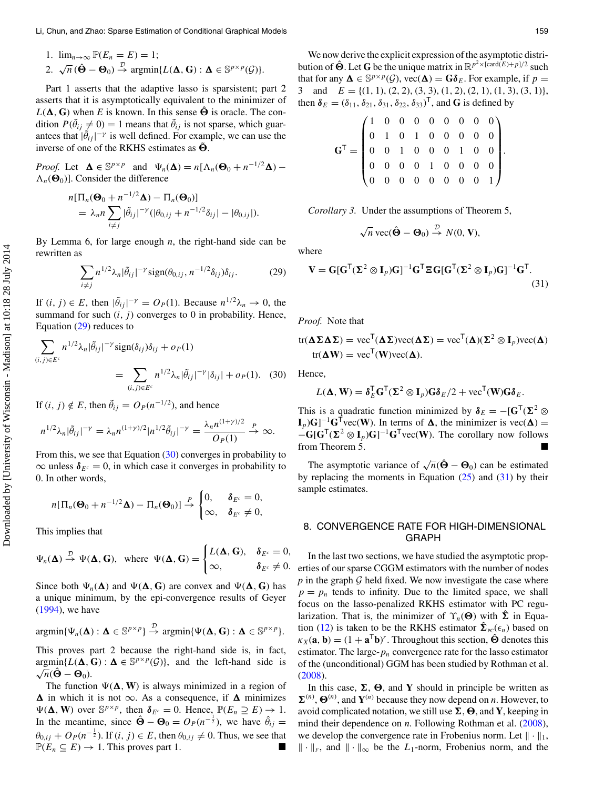1. 
$$
\lim_{n\to\infty} \mathbb{P}(E_n = E) = 1;
$$
  
\n2.  $\sqrt{n}(\hat{\Theta} - \Theta_0) \stackrel{\mathcal{D}}{\rightarrow} \text{argmin}\{L(\Delta, G) : \Delta \in \mathbb{S}^{p \times p}(\mathcal{G})\}.$ 

Part 1 asserts that the adaptive lasso is sparsistent; part 2 asserts that it is asymptotically equivalent to the minimizer of  $L(\Delta, G)$  when *E* is known. In this sense  $\hat{\Theta}$  is oracle. The condition  $P(\tilde{\theta}_{ij} \neq 0) = 1$  means that  $\tilde{\theta}_{ij}$  is not sparse, which guarantees that  $|\tilde{\theta}_{ij}|^{-\gamma}$  is well defined. For example, we can use the inverse of one of the RKHS estimates as  $\tilde{\Theta}$ .

*Proof.* Let  $\Delta \in \mathbb{S}^{p \times p}$  and  $\Psi_n(\Delta) = n[\Lambda_n(\Theta_0 + n^{-1/2}\Delta) \Lambda_n(\Theta_0)$ ]. Consider the difference

$$
n[\Pi_n(\mathbf{\Theta}_0+n^{-1/2}\mathbf{\Delta})-\Pi_n(\mathbf{\Theta}_0)]
$$
  
=  $\lambda_n n \sum_{i \neq j} |\tilde{\theta}_{ij}|^{-\gamma} (|\theta_{0,ij}+n^{-1/2}\delta_{ij}| - |\theta_{0,ij}|).$ 

By Lemma 6, for large enough *n*, the right-hand side can be rewritten as

$$
\sum_{i \neq j} n^{1/2} \lambda_n |\tilde{\theta}_{ij}|^{-\gamma} \text{sign}(\theta_{0,ij}, n^{-1/2} \delta_{ij}) \delta_{ij}.
$$
 (29)

If  $(i, j) \in E$ , then  $|\tilde{\theta}_{ij}|^{-\gamma} = O_P(1)$ . Because  $n^{1/2}\lambda_n \to 0$ , the summand for such  $(i, j)$  converges to 0 in probability. Hence, Equation (29) reduces to

$$
\sum_{(i,j)\in E^c} n^{1/2} \lambda_n |\tilde{\theta}_{ij}|^{-\gamma} \operatorname{sign}(\delta_{ij}) \delta_{ij} + o_P(1)
$$
  
= 
$$
\sum_{(i,j)\in E^c} n^{1/2} \lambda_n |\tilde{\theta}_{ij}|^{-\gamma} |\delta_{ij}| + o_P(1).
$$
 (30)

If  $(i, j) \notin E$ , then  $\tilde{\theta}_{ij} = O_P (n^{-1/2})$ , and hence

$$
n^{1/2}\lambda_n|\tilde{\theta}_{ij}|^{-\gamma}=\lambda_n n^{(1+\gamma)/2}|n^{1/2}\tilde{\theta}_{ij}|^{-\gamma}=\frac{\lambda_n n^{(1+\gamma)/2}}{O_P(1)}\stackrel{P}{\to}\infty.
$$

From this, we see that Equation (30) converges in probability to  $\infty$  unless  $\delta_{E^c} = 0$ , in which case it converges in probability to 0. In other words,

$$
n[\Pi_n(\mathbf{\Theta}_0+n^{-1/2}\mathbf{\Delta})-\Pi_n(\mathbf{\Theta}_0)] \stackrel{P}{\rightarrow} \begin{cases} 0, & \delta_{E^c}=0, \\ \infty, & \delta_{E^c}\neq 0, \end{cases}
$$

This implies that

$$
\Psi_n(\mathbf{\Delta}) \stackrel{\mathcal{D}}{\rightarrow} \Psi(\mathbf{\Delta}, \mathbf{G}), \text{ where } \Psi(\mathbf{\Delta}, \mathbf{G}) = \begin{cases} L(\mathbf{\Delta}, \mathbf{G}), & \delta_{E^c} = 0, \\ \infty, & \delta_{E^c} \neq 0. \end{cases}
$$

Since both  $\Psi_n(\Delta)$  and  $\Psi(\Delta, G)$  are convex and  $\Psi(\Delta, G)$  has a unique minimum, by the epi-convergence results of Geyer [\(1994\)](#page-15-27), we have

<span id="page-7-1"></span>
$$
\mathrm{argmin}\{\Psi_n(\mathbf{\Delta}) : \mathbf{\Delta} \in \mathbb{S}^{p \times p}\} \stackrel{\mathcal{D}}{\rightarrow} \mathrm{argmin}\{\Psi(\mathbf{\Delta}, \mathbf{G}) : \mathbf{\Delta} \in \mathbb{S}^{p \times p}\}.
$$

This proves part 2 because the right-hand side is, in fact,  $argmin\{L(\Delta, G) : \Delta \in \mathbb{S}^{p \times p}(\mathcal{G})\}$ , and the left-hand side is  $\frac{\partial \text{argmin}\{L(\mathbf{\Delta}, \mathbf{v})\}}{\sqrt{n}(\hat{\mathbf{\Theta}} - \mathbf{\Theta}_0).}$ 

The function  $\Psi(\Delta, W)$  is always minimized in a region of  $\Delta$  in which it is not  $\infty$ . As a consequence, if  $\Delta$  minimizes  $\Psi(\mathbf{\Delta}, \mathbf{W})$  over  $\mathbb{S}^{p \times p}$ , then  $\delta_{E^c} = 0$ . Hence,  $\mathbb{P}(E_n \supseteq E) \to 1$ . In the meantime, since  $\hat{\Theta} - \Theta_0 = O_P(n^{-\frac{1}{2}})$ , we have  $\hat{\theta}_{ij} =$  $\theta_{0,ij} + O_P(n^{-\frac{1}{2}})$ . If  $(i, j) \in E$ , then  $\theta_{0,ij} \neq 0$ . Thus, we see that  $\mathbb{P}(E_n \subseteq E) \to 1$ . This proves part 1.

We now derive the explicit expression of the asymptotic distribution of  $\hat{\Theta}$ . Let G be the unique matrix in  $\mathbb{R}^{p^2 \times [card(E)+p]/2}$  such that for any  $\Delta \in \mathbb{S}^{p \times p}(\mathcal{G})$ , vec $(\Delta) = \mathbf{G} \delta_E$ . For example, if  $p = 3$  and  $E = \{(1, 1), (2, 2), (3, 3), (1, 2), (2, 1), (1, 3), (3, 1)\}\$ and  $E = \{(1, 1), (2, 2), (3, 3), (1, 2), (2, 1), (1, 3), (3, 1)\},\$ then  $\delta_E = (\delta_{11}, \delta_{21}, \delta_{31}, \delta_{22}, \delta_{33})^\mathsf{T}$ , and **G** is defined by

| $\mathbf{G}^\mathsf{T} = \begin{pmatrix} 1 & 0 & 0 & 0 & 0 & 0 & 0 & 0 & 0 \\ 0 & 1 & 0 & 1 & 0 & 0 & 0 & 0 & 0 \\ 0 & 0 & 1 & 0 & 0 & 0 & 1 & 0 & 0 \\ 0 & 0 & 0 & 0 & 1 & 0 & 0 & 0 & 0 \\ 0 & 0 & 0 & 0 & 0 & 0 & 0 & 0 & 1 \end{pmatrix}.$ |  |  |  |  |  |
|------------------------------------------------------------------------------------------------------------------------------------------------------------------------------------------------------------------------------------------------|--|--|--|--|--|
|                                                                                                                                                                                                                                                |  |  |  |  |  |
|                                                                                                                                                                                                                                                |  |  |  |  |  |

*Corollary 3.* Under the assumptions of Theorem 5,

$$
\sqrt{n}\,\mathrm{vec}(\hat{\Theta}-\Theta_0)\stackrel{\mathcal{D}}{\rightarrow}N(0,\mathbf{V}),
$$

where

$$
\mathbf{V} = \mathbf{G}[\mathbf{G}^{\mathsf{T}}(\mathbf{\Sigma}^{2} \otimes \mathbf{I}_{p})\mathbf{G}]^{-1}\mathbf{G}^{\mathsf{T}}\mathbf{\Xi}\mathbf{G}[\mathbf{G}^{\mathsf{T}}(\mathbf{\Sigma}^{2} \otimes \mathbf{I}_{p})\mathbf{G}]^{-1}\mathbf{G}^{\mathsf{T}}.
$$
\n(31)

*Proof.* Note that

tr(
$$
\Delta \Sigma \Delta \Sigma
$$
) = vec<sup>T</sup>( $\Delta \Sigma$ )vec( $\Delta \Sigma$ ) = vec<sup>T</sup>( $\Delta$ )( $\Sigma$ <sup>2</sup> ⊗ I<sub>p</sub>)vec( $\Delta$ )  
tr( $\Delta W$ ) = vec<sup>T</sup>(W)vec( $\Delta$ ).

Hence,

$$
L(\mathbf{\Delta}, \mathbf{W}) = \mathbf{\delta}_E^{\mathsf{T}} \mathbf{G}^{\mathsf{T}} (\mathbf{\Sigma}^2 \otimes \mathbf{I}_p) \mathbf{G} \mathbf{\delta}_E / 2 + \text{vec}^{\mathsf{T}}(\mathbf{W}) \mathbf{G} \mathbf{\delta}_E.
$$

This is a quadratic function minimized by  $\delta_E = -[\mathbf{G}^\mathsf{T}(\mathbf{\Sigma}^2 \otimes \mathbf{G})]$  $\mathbf{I}_p$ )**G**]<sup>-1</sup>**G**<sup>T</sup>vec(**W**). In terms of  $\Delta$ , the minimizer is vec( $\Delta$ ) =  $-\mathbf{G}[\mathbf{G}^{\mathsf{T}}(\mathbf{\Sigma}^2 \otimes \mathbf{I}_p)\mathbf{G}]^{-1}\mathbf{G}^{\mathsf{T}}$ vec(**W**). The corollary now follows from Theorem 5.

The asymptotic variance of  $\sqrt{n}(\hat{\Theta} - \Theta_0)$  can be estimated by replacing the moments in Equation  $(25)$  and  $(31)$  by their sample estimates.

## <span id="page-7-0"></span>8. CONVERGENCE RATE FOR HIGH-DIMENSIONAL GRAPH

In the last two sections, we have studied the asymptotic properties of our sparse CGGM estimators with the number of nodes *p* in the graph *G* held fixed. We now investigate the case where  $p = p_n$  tends to infinity. Due to the limited space, we shall focus on the lasso-penalized RKHS estimator with PC regularization. That is, the minimizer of  $\Upsilon_n(\Theta)$  with  $\hat{\Sigma}$  in Equation (12) is taken to be the RKHS estimator  $\hat{\Sigma}_{\text{PC}}(\epsilon_n)$  based on  $\kappa_X(\mathbf{a}, \mathbf{b}) = (1 + \mathbf{a}^\mathsf{T} \mathbf{b})^r$ . Throughout this section,  $\hat{\mathbf{\Theta}}$  denotes this estimator. The large- $p_n$  convergence rate for the lasso estimator of the (unconditional) GGM has been studied by Rothman et al. [\(2008\)](#page-15-28).

<span id="page-7-2"></span>In this case,  $\Sigma$ ,  $\Theta$ , and **Y** should in principle be written as  $\Sigma^{(n)}$ ,  $\Theta^{(n)}$ , and  $\mathbf{Y}^{(n)}$  because they now depend on *n*. However, to avoid complicated notation, we still use  $\Sigma$ ,  $\Theta$ , and Y, keeping in mind their dependence on *n*. Following Rothman et al. [\(2008\)](#page-15-28), we develop the convergence rate in Frobenius norm. Let  $\|\cdot\|_1$ ,  $\|\cdot\|_F$ , and  $\|\cdot\|_{\infty}$  be the  $L_1$ -norm, Frobenius norm, and the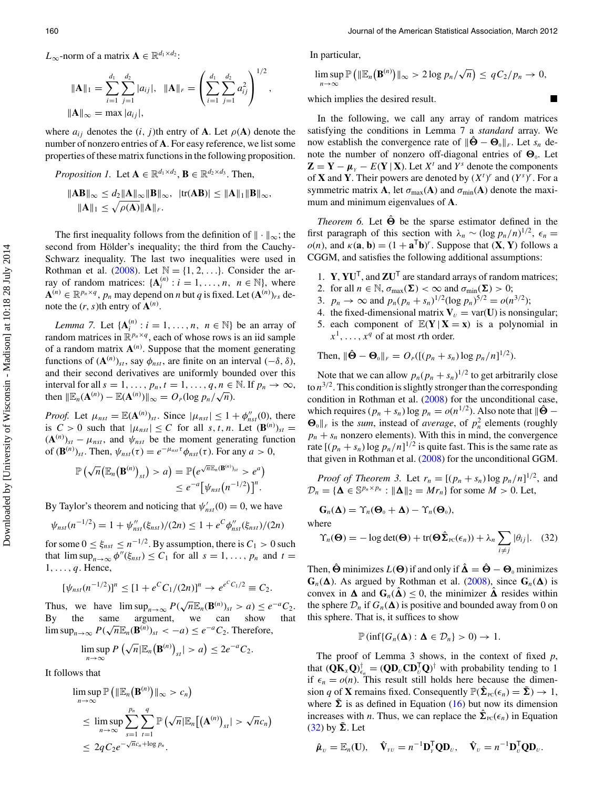L<sub>∞</sub>-norm of a matrix  $\mathbf{A} \in \mathbb{R}^{d_1 \times d_2}$ :

$$
\|\mathbf{A}\|_{1} = \sum_{i=1}^{d_{1}} \sum_{j=1}^{d_{2}} |a_{ij}|, \quad \|\mathbf{A}\|_{F} = \left(\sum_{i=1}^{d_{1}} \sum_{j=1}^{d_{2}} a_{ij}^{2}\right)^{1/2}
$$

$$
\|\mathbf{A}\|_{\infty} = \max |a_{ij}|,
$$

where  $a_{ij}$  denotes the  $(i, j)$ th entry of **A**. Let  $\rho$ (**A**) denote the number of nonzero entries of **A**. For easy reference, we list some properties of these matrix functions in the following proposition.

*Proposition 1.* Let 
$$
\mathbf{A} \in \mathbb{R}^{d_1 \times d_2}
$$
,  $\mathbf{B} \in \mathbb{R}^{d_2 \times d_3}$ . Then,  
\n
$$
\|\mathbf{A}\mathbf{B}\|_{\infty} \leq d_2 \|\mathbf{A}\|_{\infty} \|\mathbf{B}\|_{\infty}, \ \ |\text{tr}(\mathbf{A}\mathbf{B})| \leq \|\mathbf{A}\|_{1} \|\mathbf{B}\|_{\infty},
$$
\n
$$
\|\mathbf{A}\|_{1} \leq \sqrt{\rho(\mathbf{A})} \|\mathbf{A}\|_{F}.
$$

The first inequality follows from the definition of  $|| \cdot ||_{\infty}$ ; the second from Hölder's inequality; the third from the Cauchy-Schwarz inequality. The last two inequalities were used in Rothman et al. [\(2008\)](#page-15-28). Let  $\mathbb{N} = \{1, 2, \ldots\}$ . Consider the array of random matrices:  $\{A_i^{(n)} : i = 1, ..., n, n \in \mathbb{N}\},\$  where  $\mathbf{A}^{(n)} \in \mathbb{R}^{p_n \times q}$ ,  $p_n$  may depend on *n* but *q* is fixed. Let  $(\mathbf{A}^{(n)})_{rs}$  denote the  $(r, s)$ th entry of  $\mathbf{A}^{(n)}$ .

<span id="page-8-0"></span>*Lemma 7.* Let  $\{A_i^{(n)} : i = 1, ..., n, n \in \mathbb{N}\}\$  be an array of random matrices in  $\mathbb{R}^{p_n \times q}$ , each of whose rows is an iid sample of a random matrix  $A^{(n)}$ . Suppose that the moment generating functions of  $(\mathbf{A}^{(n)})_{st}$ , say  $\phi_{nst}$ , are finite on an interval  $(-\delta, \delta)$ , and their second derivatives are uniformly bounded over this interval for all  $s = 1, \ldots, p_n, t = 1, \ldots, q, n \in \mathbb{N}$ . If  $p_n \to \infty$ , then  $\|\mathbb{E}_n(\mathbf{A}^{(n)}) - \mathbb{E}(\mathbf{A}^{(n)})\|_{\infty} = O_P(\log p_n / \sqrt{n}).$ 

*Proof.* Let  $\mu_{nst} = \mathbb{E}(\mathbf{A}^{(n)})_{st}$ . Since  $|\mu_{nst}| \leq 1 + \phi''_{nst}(0)$ , there is  $C > 0$  such that  $|\mu_{nst}| \leq C$  for all  $s, t, n$ . Let  $(\mathbf{B}^{(n)})_{st} =$  $({\bf A}^{(n)})_{st} - \mu_{nst}$ , and  $\psi_{nst}$  be the moment generating function of  $(\mathbf{B}^{(n)})_{st}$ . Then,  $\psi_{nst}(\tau) = e^{-\mu_{nst}\tau} \phi_{nst}(\tau)$ . For any  $a > 0$ ,

$$
\mathbb{P}(\sqrt{n}(\mathbb{E}_n(\mathbf{B}^{(n)})_{st}) > a) = \mathbb{P}(e^{\sqrt{n}\mathbb{E}_n(\mathbf{B}^{(n)})_{st}} > e^a) \leq e^{-a}[\psi_{nst}(n^{-1/2})]^n.
$$

By Taylor's theorem and noticing that  $\psi'_{nst}(0) = 0$ , we have

$$
\psi_{nst}(n^{-1/2}) = 1 + \psi_{nst}''(\xi_{nst})/(2n) \le 1 + e^C \phi_{nst}''(\xi_{nst})/(2n)
$$

for some  $0 \le \xi_{nst} \le n^{-1/2}$ . By assumption, there is  $C_1 > 0$  such that  $\limsup_{n\to\infty}\phi''(\xi_{nst}) \leq C_1$  for all  $s=1,\ldots,p_n$  and  $t=$  $1, \ldots, q$ . Hence,

$$
[\psi_{nst}(n^{-1/2})]^n \leq [1 + e^C C_1/(2n)]^n \to e^{e^C C_1/2} \equiv C_2.
$$

Thus, we have  $\limsup_{n\to\infty} P(\sqrt{n}\mathbb{E}_n(\mathbf{B}^{(n)})_{st} > a) \leq e^{-a}C_2$ . By the same argument, we can show that  $\limsup_{n\to\infty} P(\sqrt{n}\mathbb{E}_n(\mathbf{B}^{(n)})_{st} < -a) \leq e^{-a}C_2$ . Therefore,

$$
\limsup_{n\to\infty} P\left(\sqrt{n}|\mathbb{E}_n(\mathbf{B}^{(n)})_{st}|>a\right)\leq 2e^{-a}C_2.
$$

It follows that

$$
\limsup_{n\to\infty} \mathbb{P}\left(\|\mathbb{E}_n(\mathbf{B}^{(n)})\|_{\infty} > c_n\right)
$$
\n
$$
\leq \limsup_{n\to\infty} \sum_{s=1}^{p_n} \sum_{t=1}^q \mathbb{P}\left(\sqrt{n}|\mathbb{E}_n\big[(\mathbf{A}^{(n)})_{st}| > \sqrt{n}c_n\right)
$$
\n
$$
\leq 2qC_2e^{-\sqrt{n}c_n+\log p_n}.
$$

In particular,

,

$$
\limsup_{n\to\infty} \mathbb{P}\left(\|\mathbb{E}_n(\mathbf{B}^{(n)})\|_{\infty} > 2\log p_n/\sqrt{n}\right) \leq qC_2/p_n \to 0,
$$

which implies the desired result.

In the following, we call any array of random matrices satisfying the conditions in Lemma 7 a *standard* array. We now establish the convergence rate of  $\|\hat{\mathbf{\Theta}} - \mathbf{\Theta}_0\|_F$ . Let  $s_n$  denote the number of nonzero off-diagonal entries of  $\Theta_0$ . Let  $\mathbf{Z} = \mathbf{Y} - \boldsymbol{\mu}_{\gamma} - E(\mathbf{Y} | \mathbf{X})$ . Let  $X^t$  and  $Y^s$  denote the components of **X** and **Y**. Their powers are denoted by  $(X<sup>t</sup>)<sup>r</sup>$  and  $(Y<sup>s</sup>)<sup>r</sup>$ . For a symmetric matrix **A**, let  $\sigma_{\text{max}}(A)$  and  $\sigma_{\text{min}}(A)$  denote the maximum and minimum eigenvalues of **A**.

*Theorem 6.* Let  $\hat{\Theta}$  be the sparse estimator defined in the first paragraph of this section with  $\lambda_n \sim (\log p_n/n)^{1/2}$ ,  $\epsilon_n =$  $o(n)$ , and  $\kappa(\mathbf{a}, \mathbf{b}) = (1 + \mathbf{a}^T \mathbf{b})^r$ . Suppose that  $(\mathbf{X}, \mathbf{Y})$  follows a CGGM, and satisfies the following additional assumptions:

- 1. **Y**, **YU**<sup>T</sup>, and **ZU**<sup>T</sup> are standard arrays of random matrices;
- 2. for all  $n \in \mathbb{N}$ ,  $\sigma_{\max}(\Sigma) < \infty$  and  $\sigma_{\min}(\Sigma) > 0$ ;
- 3.  $p_n \to \infty$  and  $p_n(p_n + s_n)^{1/2} (\log p_n)^{5/2} = o(n^{3/2});$
- 4. the fixed-dimensional matrix  $V_U = \text{var}(\mathbf{U})$  is nonsingular;
- 5. each component of  $\mathbb{E}(Y | X = x)$  is a polynomial in
- $x^1, \ldots, x^q$  of at most *r*th order.

Then, 
$$
\|\hat{\Theta} - \Theta_0\|_F = O_P([p_n + s_n) \log p_n/n]^{1/2}).
$$

Note that we can allow  $p_n(p_n + s_n)^{1/2}$  to get arbitrarily close to  $n^{3/2}$ . This condition is slightly stronger than the corresponding condition in Rothman et al. [\(2008\)](#page-15-28) for the unconditional case, which requires  $(p_n + s_n) \log p_n = o(n^{1/2})$ . Also note that  $\|\hat{\Theta} - \hat{\Theta}\|$  $\Theta_0 \|_F$  is the *sum*, instead of *average*, of  $p_n^2$  elements (roughly  $p_n + s_n$  nonzero elements). With this in mind, the convergence rate  $[(p_n + s_n) \log p_n/n]^{1/2}$  is quite fast. This is the same rate as that given in Rothman et al. [\(2008\)](#page-15-28) for the unconditional GGM.

*Proof of Theorem 3.* Let  $r_n = [(p_n + s_n) \log p_n/n]^{1/2}$ , and  $\mathcal{D}_n = {\mathbf{\Delta} \in \mathbb{S}^{p_n \times p_n} : \|\mathbf{\Delta}\|_2 = Mr_n}$  for some  $M > 0$ . Let,

$$
G_n(\Delta) = \Upsilon_n(\Theta_0 + \Delta) - \Upsilon_n(\Theta_0),
$$
  
where  

$$
\Upsilon_n(\Theta) = -\log \det(\Theta) + \text{tr}(\Theta \hat{\Sigma}_m(\epsilon_n)) + \lambda_n
$$

$$
\Upsilon_n(\mathbf{\Theta}) = -\log \det(\mathbf{\Theta}) + \text{tr}(\mathbf{\Theta}\hat{\mathbf{\Sigma}}_{\text{PC}}(\epsilon_n)) + \lambda_n \sum_{i \neq j} |\theta_{ij}|. \quad (32)
$$

Then,  $\hat{\Theta}$  minimizes  $L(\Theta)$  if and only if  $\hat{\Delta} = \hat{\Theta} - \Theta_0$  minimizes  $G_n(\Delta)$ . As argued by Rothman et al. [\(2008\)](#page-15-28), since  $G_n(\Delta)$  is convex in  $\Delta$  and  $G_n(\hat{\Delta}) \leq 0$ , the minimizer  $\hat{\Delta}$  resides within the sphere  $\mathcal{D}_n$  if  $G_n(\Delta)$  is positive and bounded away from 0 on this sphere. That is, it suffices to show

$$
\mathbb{P}(\inf\{G_n(\mathbf{\Delta}): \mathbf{\Delta} \in \mathcal{D}_n\} > 0) \to 1.
$$

The proof of Lemma 3 shows, in the context of fixed *p*, that  $(\mathbf{Q}\mathbf{K}_x\mathbf{Q})_{\epsilon_n}^{\dagger} = (\mathbf{Q}\mathbf{D}_v\mathbf{C}\mathbf{D}_v^{\mathsf{T}}\mathbf{Q})^{\dagger}$  with probability tending to 1 if  $\epsilon_n = o(n)$ . This result still holds here because the dimension *q* of **X** remains fixed. Consequently  $\mathbb{P}(\hat{\Sigma}_{\text{pc}}(\epsilon_n) = \hat{\Sigma}) \rightarrow 1$ , where  $\hat{\Sigma}$  is as defined in Equation (16) but now its dimension increases with *n*. Thus, we can replace the  $\hat{\Sigma}_{\text{PC}}(\epsilon_n)$  in Equation  $(32)$  by  $\tilde{\Sigma}$ . Let

$$
\hat{\boldsymbol{\mu}}_v = \mathbb{E}_n(\mathbf{U}), \quad \hat{\mathbf{V}}_{\scriptscriptstyle{YU}} = n^{-1} \mathbf{D}_{\scriptscriptstyle{Y}}^{\mathsf{T}} \mathbf{Q} \mathbf{D}_v, \quad \hat{\mathbf{V}}_v = n^{-1} \mathbf{D}_{\scriptscriptstyle{U}}^{\mathsf{T}} \mathbf{Q} \mathbf{D}_v.
$$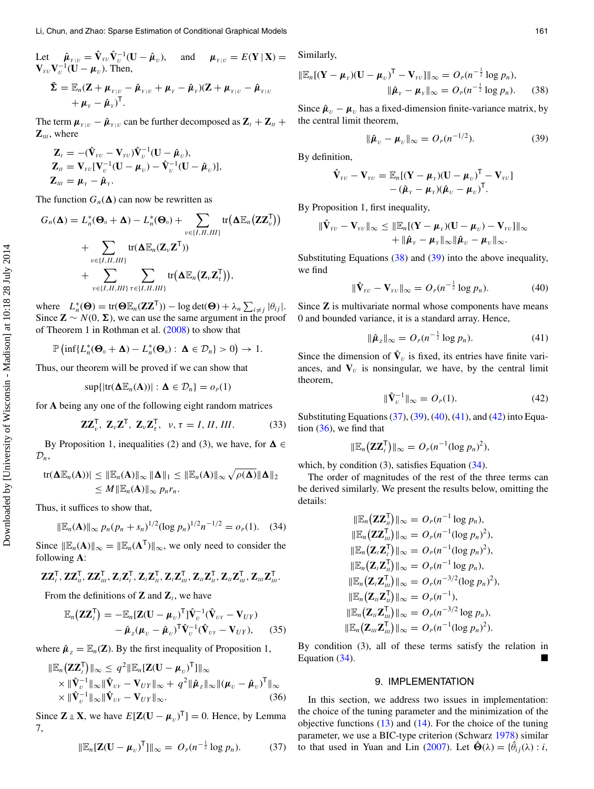Let  $\hat{\boldsymbol{\mu}}_{Y|U} = \hat{\mathbf{V}}_{YU} \hat{\mathbf{V}}_U^{-1} (\mathbf{U} - \hat{\boldsymbol{\mu}}_U), \text{ and } \hat{\boldsymbol{\mu}}_{Y|U} = E(\mathbf{Y} | \mathbf{X}) =$  $\mathbf{V}_{\nu} \mathbf{V}_{\nu}^{-1} (\mathbf{U} - \boldsymbol{\mu}_{\nu}).$  Then,  $\tilde{\Sigma} = \mathbb{E}_n(\mathbf{Z} + \boldsymbol{\mu}_{Y|U} - \hat{\boldsymbol{\mu}}_{Y|U} + \boldsymbol{\mu}_{Y} - \hat{\boldsymbol{\mu}}_{Y|U} - \hat{\boldsymbol{\mu}}_{Y|U} - \hat{\boldsymbol{\mu}}_{Y|U}$  $+\mu_{Y} - \hat{\mu}_{Y}$ <sup>T</sup>.

The term  $\mu_{Y \mid U} - \hat{\mu}_{Y \mid U}$  can be further decomposed as  $\mathbf{Z}_I + \mathbf{Z}_U + \mathbf{Z}_I$  $\mathbf{Z}_{\scriptscriptstyle III}$ , where

$$
\mathbf{Z}_{I} = -(\hat{\mathbf{V}}_{\nu U} - \mathbf{V}_{\nu U})\hat{\mathbf{V}}_{U}^{-1}(\mathbf{U} - \hat{\boldsymbol{\mu}}_{U}), \n\mathbf{Z}_{II} = \mathbf{V}_{\nu U}[\mathbf{V}_{U}^{-1}(\mathbf{U} - \boldsymbol{\mu}_{U}) - \hat{\mathbf{V}}_{U}^{-1}(\mathbf{U} - \hat{\boldsymbol{\mu}}_{U})], \n\mathbf{Z}_{III} = \boldsymbol{\mu}_{Y} - \hat{\boldsymbol{\mu}}_{Y}.
$$

The function  $G_n(\Delta)$  can now be rewritten as

$$
G_n(\mathbf{\Delta}) = L_n^*(\mathbf{\Theta}_0 + \mathbf{\Delta}) - L_n^*(\mathbf{\Theta}_0) + \sum_{v \in \{I, II, III\}} tr(\mathbf{\Delta} \mathbb{E}_n(\mathbf{Z} \mathbf{Z}_v^{\mathsf{T}}))
$$
  
+ 
$$
\sum_{v \in \{I, II, III\}} tr(\mathbf{\Delta} \mathbb{E}_n(\mathbf{Z}_v \mathbf{Z}^{\mathsf{T}}))
$$
  
+ 
$$
\sum_{v \in \{I, II, III\}} \sum_{\tau \in \{I, II, III\}} tr(\mathbf{\Delta} \mathbb{E}_n(\mathbf{Z}_v \mathbf{Z}_\tau^{\mathsf{T}})),
$$

where  $L_n^*(\Theta) = \text{tr}(\Theta \mathbb{E}_n(ZZ^T)) - \log \det(\Theta) + \lambda_n \sum_{i \neq j} |\theta_{ij}|.$ Since  $\mathbf{Z} \sim N(0, \Sigma)$ , we can use the same argument in the proof of Theorem 1 in Rothman et al. [\(2008\)](#page-15-28) to show that

$$
\mathbb{P}\left(\inf\{L_n^*(\mathbf{\Theta}_0+\mathbf{\Delta})-L_n^*(\mathbf{\Theta}_0): \mathbf{\Delta}\in\mathcal{D}_n\}>0\right)\to 1.
$$

Thus, our theorem will be proved if we can show that

<span id="page-9-1"></span>
$$
\sup\{|tr(\mathbf{\Delta}\mathbb{E}_n(\mathbf{A}))|:\mathbf{\Delta}\in\mathcal{D}_n\}=o_p(1)
$$

for **A** being any one of the following eight random matrices

$$
\mathbf{Z}\mathbf{Z}_{\nu}^{\mathsf{T}}, \ \mathbf{Z}_{\nu}\mathbf{Z}^{\mathsf{T}}, \ \mathbf{Z}_{\nu}\mathbf{Z}_{\tau}^{\mathsf{T}}, \ \ \nu, \tau = I, II, III. \tag{33}
$$

By Proposition 1, inequalities (2) and (3), we have, for  $\Delta \in$  $\mathcal{D}_n$ ,

$$
tr(\mathbf{\Delta} \mathbb{E}_n(\mathbf{A}))| \leq \|\mathbb{E}_n(\mathbf{A})\|_{\infty} \|\mathbf{\Delta}\|_{1} \leq \|\mathbb{E}_n(\mathbf{A})\|_{\infty} \sqrt{\rho(\mathbf{\Delta})} \|\mathbf{\Delta}\|_{2}
$$
  

$$
\leq M \|\mathbb{E}_n(\mathbf{A})\|_{\infty} p_n r_n.
$$

Thus, it suffices to show that,

$$
\|\mathbb{E}_n(\mathbf{A})\|_{\infty} p_n(p_n+s_n)^{1/2}(\log p_n)^{1/2}n^{-1/2}=o_p(1). \quad (34)
$$

Since  $\|\mathbb{E}_n(A)\|_{\infty} = \|\mathbb{E}_n(A^{\mathsf{T}})\|_{\infty}$ , we only need to consider the following **A**:

$$
\bold{Z}\bold{Z}_l^{\mathsf{T}}, \bold{Z}\bold{Z}_u^{\mathsf{T}}, \bold{Z}\bold{Z}_m^{\mathsf{T}}, \bold{Z}_i\bold{Z}_i^{\mathsf{T}}, \bold{Z}_i\bold{Z}_u^{\mathsf{T}}, \bold{Z}_i\bold{Z}_m^{\mathsf{T}}, \bold{Z}_u\bold{Z}_u^{\mathsf{T}}, \bold{Z}_u\bold{Z}_m^{\mathsf{T}}, \bold{Z}_m\bold{Z}_m^{\mathsf{T}}.
$$

From the definitions of **Z** and  $\mathbf{Z}_i$ , we have

$$
\mathbb{E}_n(\mathbf{Z}\mathbf{Z}_t^{\mathsf{T}}) = -\mathbb{E}_n[\mathbf{Z}(\mathbf{U} - \boldsymbol{\mu}_v)^{\mathsf{T}}] \hat{\mathbf{V}}_v^{-1} (\hat{\mathbf{V}}_{vv} - \mathbf{V}_{UY}) - \hat{\boldsymbol{\mu}}_z(\boldsymbol{\mu}_v - \hat{\boldsymbol{\mu}}_v)^{\mathsf{T}} \hat{\mathbf{V}}_v^{-1} (\hat{\mathbf{V}}_{vv} - \mathbf{V}_{UY}), \qquad (35)
$$

where  $\hat{\boldsymbol{\mu}}_z = \mathbb{E}_n(\mathbf{Z})$ . By the first inequality of Proposition 1,

$$
\|\mathbb{E}_n(\mathbf{Z}\mathbf{Z}_t^{\mathsf{T}})\|_{\infty} \leq q^2 \|\mathbb{E}_n[\mathbf{Z}(\mathbf{U} - \boldsymbol{\mu}_v)^{\mathsf{T}}]\|_{\infty} \times \|\hat{\mathbf{V}}_v^{-1}\|_{\infty} \|\hat{\mathbf{V}}_{vv} - \mathbf{V}_{UY}\|_{\infty} + q^2 \|\hat{\boldsymbol{\mu}}_z\|_{\infty} \|(\boldsymbol{\mu}_v - \hat{\boldsymbol{\mu}}_v)^{\mathsf{T}}\|_{\infty} \times \|\hat{\mathbf{V}}_v^{-1}\|_{\infty} \|\hat{\mathbf{V}}_{vv} - \mathbf{V}_{UY}\|_{\infty}.
$$
\n(36)

Since  $\mathbf{Z} \perp \mathbf{X}$ , we have  $E[\mathbf{Z}(\mathbf{U} - \boldsymbol{\mu}_{U})^{\mathsf{T}}] = 0$ . Hence, by Lemma 7,

$$
\|\mathbb{E}_n[\mathbf{Z}(\mathbf{U}-\boldsymbol{\mu}_v)^\mathsf{T}]\|_{\infty} = O_p(n^{-\frac{1}{2}}\log p_n). \tag{37}
$$

Similarly,

$$
\|\mathbb{E}_n[(\mathbf{Y}-\boldsymbol{\mu}_r)(\mathbf{U}-\boldsymbol{\mu}_v)^{\mathsf{T}}-\mathbf{V}_{rv}]\|_{\infty}=O_P(n^{-\frac{1}{2}}\log p_n),
$$
  

$$
\|\hat{\boldsymbol{\mu}}_r-\boldsymbol{\mu}_r\|_{\infty}=O_P(n^{-\frac{1}{2}}\log p_n).
$$
 (38)

Since  $\hat{\boldsymbol{\mu}}_U - \boldsymbol{\mu}_U$  has a fixed-dimension finite-variance matrix, by the central limit theorem,

$$
\|\hat{\boldsymbol{\mu}}_U - \boldsymbol{\mu}_U\|_{\infty} = O_P(n^{-1/2}).
$$
\n(39)

By definition,

$$
\hat{\mathbf{V}}_{\scriptscriptstyle{YU}} - \mathbf{V}_{\scriptscriptstyle{YU}} = \mathbb{E}_n[(\mathbf{Y} - \boldsymbol{\mu}_{\scriptscriptstyle{Y}})(\mathbf{U} - \boldsymbol{\mu}_{\scriptscriptstyle{U}})^{\mathsf{T}} - \mathbf{V}_{\scriptscriptstyle{YU}}] - (\hat{\boldsymbol{\mu}}_{\scriptscriptstyle{Y}} - \boldsymbol{\mu}_{\scriptscriptstyle{Y}})(\hat{\boldsymbol{\mu}}_{\scriptscriptstyle{U}} - \boldsymbol{\mu}_{\scriptscriptstyle{U}})^{\mathsf{T}}.
$$

By Proposition 1, first inequality,

$$
\|\hat{\mathbf{V}}_{\nu\nu}-\mathbf{V}_{\nu\nu}\|_{\infty}\leq \|\mathbb{E}_n[(\mathbf{Y}-\boldsymbol{\mu}_{\nu})(\mathbf{U}-\boldsymbol{\mu}_{\nu})-\mathbf{V}_{\nu\nu}]\|_{\infty}+\|\hat{\boldsymbol{\mu}}_{\nu}-\boldsymbol{\mu}_{\nu}\|_{\infty}\|\hat{\boldsymbol{\mu}}_{\nu}-\boldsymbol{\mu}_{\nu}\|_{\infty}.
$$

Substituting Equations (38) and (39) into the above inequality, we find

$$
\|\hat{\mathbf{V}}_{\text{rv}} - \mathbf{V}_{\text{rv}}\|_{\infty} = O_{\text{P}}(n^{-\frac{1}{2}}\log p_n). \tag{40}
$$

Since **Z** is multivariate normal whose components have means 0 and bounded variance, it is a standard array. Hence,

$$
\|\hat{\boldsymbol{\mu}}_z\|_{\infty} = O_p(n^{-\frac{1}{2}}\log p_n). \tag{41}
$$

Since the dimension of  $\hat{\mathbf{V}}_U$  is fixed, its entries have finite variances, and  $V_U$  is nonsingular, we have, by the central limit theorem,

$$
\|\hat{\mathbf{V}}_{U}^{-1}\|_{\infty} = O_{P}(1). \tag{42}
$$

Substituting Equations (37), (39), (40), (41), and (42) into Equation (36), we find that

$$
\|\mathbb{E}_n(\mathbf{ZZ}_{l}^{\mathsf{T}})\|_{\infty}=O_{P}(n^{-1}(\log p_n)^2),
$$

which, by condition  $(3)$ , satisfies Equation  $(34)$ .

 $\parallel$ 

The order of magnitudes of the rest of the three terms can be derived similarly. We present the results below, omitting the details:

$$
\|\mathbb{E}_n(\mathbf{Z}\mathbf{Z}_n^{\mathsf{T}})\|_{\infty} = O_P(n^{-1}\log p_n),
$$
  
\n
$$
\|\mathbb{E}_n(\mathbf{Z}\mathbf{Z}_m^{\mathsf{T}})\|_{\infty} = O_P(n^{-1}(\log p_n)^2),
$$
  
\n
$$
\|\mathbb{E}_n(\mathbf{Z}_n\mathbf{Z}_n^{\mathsf{T}})\|_{\infty} = O_P(n^{-1}(\log p_n)^2),
$$
  
\n
$$
\|\mathbb{E}_n(\mathbf{Z}_n\mathbf{Z}_n^{\mathsf{T}})\|_{\infty} = O_P(n^{-1}\log p_n),
$$
  
\n
$$
\|\mathbb{E}_n(\mathbf{Z}_n\mathbf{Z}_m^{\mathsf{T}})\|_{\infty} = O_P(n^{-3/2}(\log p_n)^2),
$$
  
\n
$$
\|\mathbb{E}_n(\mathbf{Z}_n\mathbf{Z}_m^{\mathsf{T}})\|_{\infty} = O_P(n^{-1}),
$$
  
\n
$$
\|\mathbb{E}_n(\mathbf{Z}_n\mathbf{Z}_m^{\mathsf{T}})\|_{\infty} = O_P(n^{-3/2}\log p_n),
$$
  
\n
$$
\|\mathbb{E}_n(\mathbf{Z}_m\mathbf{Z}_m^{\mathsf{T}})\|_{\infty} = O_P(n^{-1}(\log p_n)^2).
$$

By condition (3), all of these terms satisfy the relation in Equation (34).

## <span id="page-9-3"></span><span id="page-9-2"></span><span id="page-9-0"></span>9. IMPLEMENTATION

In this section, we address two issues in implementation: the choice of the tuning parameter and the minimization of the objective functions  $(13)$  and  $(14)$ . For the choice of the tuning parameter, we use a BIC-type criterion (Schwarz [1978\)](#page-15-29) similar to that used in Yuan and Lin [\(2007\)](#page-15-1). Let  $\hat{\Theta}(\lambda) = {\hat{\theta}_{ij}(\lambda) : i,$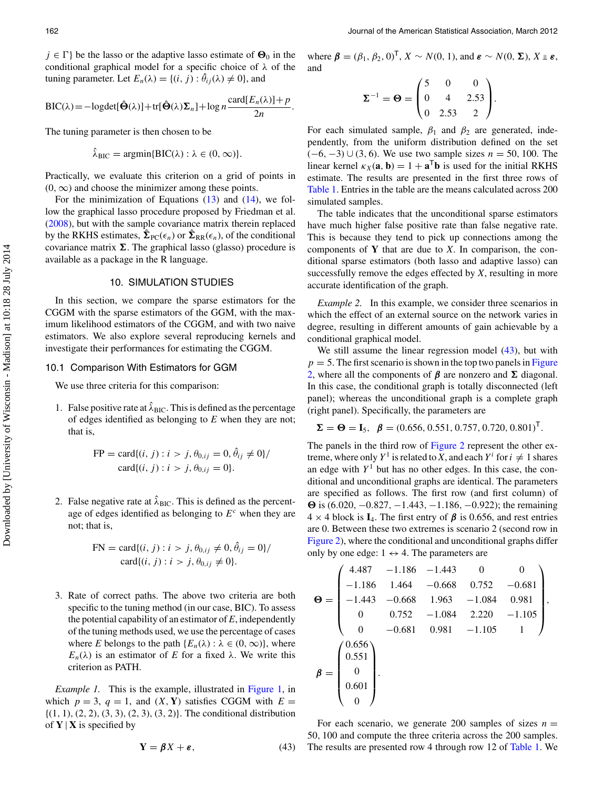$j \in \Gamma$ } be the lasso or the adaptive lasso estimate of  $\Theta_0$  in the conditional graphical model for a specific choice of  $\lambda$  of the tuning parameter. Let  $E_n(\lambda) = \{(i, j) : \hat{\theta}_{ij}(\lambda) \neq 0\}$ , and

$$
\text{BIC}(\lambda) = -\log \det[\hat{\Theta}(\lambda)] + \text{tr}[\hat{\Theta}(\lambda)\Sigma_n] + \log n \frac{\text{card}[E_n(\lambda)] + p}{2n}.
$$

The tuning parameter is then chosen to be

$$
\hat{\lambda}_{\text{BIC}} = \text{argmin} \{ \text{BIC}(\lambda) : \lambda \in (0, \infty) \}.
$$

Practically, we evaluate this criterion on a grid of points in  $(0, \infty)$  and choose the minimizer among these points.

<span id="page-10-1"></span>For the minimization of Equations  $(13)$  and  $(14)$ , we follow the graphical lasso procedure proposed by Friedman et al. [\(2008\)](#page-15-15), but with the sample covariance matrix therein replaced by the RKHS estimates,  $\hat{\Sigma}_{PC}(\epsilon_n)$  or  $\hat{\Sigma}_{RR}(\epsilon_n)$ , of the conditional covariance matrix  $\Sigma$ . The graphical lasso (glasso) procedure is available as a package in the R language.

# 10. SIMULATION STUDIES

In this section, we compare the sparse estimators for the CGGM with the sparse estimators of the GGM, with the maximum likelihood estimators of the CGGM, and with two naive estimators. We also explore several reproducing kernels and investigate their performances for estimating the CGGM.

#### 10.1 Comparison With Estimators for GGM

We use three criteria for this comparison:

1. False positive rate at  $\lambda_{\text{BIC}}$ . This is defined as the percentage of edges identified as belonging to *E* when they are not; that is,

FP = card{(i, j) : 
$$
i > j
$$
,  $\theta_{0,ij} = 0$ ,  $\hat{\theta}_{ij} \neq 0$ }/  
card{(i, j) :  $i > j$ ,  $\theta_{0,ij} = 0$ }.

2. False negative rate at  $\hat{\lambda}_{BIC}$ . This is defined as the percentage of edges identified as belonging to  $E<sup>c</sup>$  when they are not; that is,

$$
FN = \text{card}\{(i, j) : i > j, \theta_{0, ij} \neq 0, \hat{\theta}_{ij} = 0\} / \text{card}\{(i, j) : i > j, \theta_{0, ij} \neq 0\}.
$$

3. Rate of correct paths. The above two criteria are both specific to the tuning method (in our case, BIC). To assess the potential capability of an estimator of *E*, independently of the tuning methods used, we use the percentage of cases where *E* belongs to the path  $\{E_n(\lambda): \lambda \in (0, \infty)\}\)$ , where  $E_n(\lambda)$  is an estimator of *E* for a fixed  $\lambda$ . We write this criterion as PATH.

*Example 1.* This is the example, illustrated in [Figure 1,](#page-1-0) in which  $p = 3$ ,  $q = 1$ , and  $(X, Y)$  satisfies CGGM with  $E =$  $\{(1, 1), (2, 2), (3, 3), (2, 3), (3, 2)\}.$  The conditional distribution of  $Y \mid X$  is specified by

$$
Y = \beta X + \varepsilon, \tag{43}
$$

where  $\boldsymbol{\beta} = (\beta_1, \beta_2, 0)^T$ ,  $X \sim N(0, 1)$ , and  $\boldsymbol{\varepsilon} \sim N(0, \boldsymbol{\Sigma})$ ,  $X \perp \boldsymbol{\varepsilon}$ , and

$$
\Sigma^{-1} = \Theta = \begin{pmatrix} 5 & 0 & 0 \\ 0 & 4 & 2.53 \\ 0 & 2.53 & 2 \end{pmatrix}.
$$

For each simulated sample,  $\beta_1$  and  $\beta_2$  are generated, independently, from the uniform distribution defined on the set  $(-6, -3) \cup (3, 6)$ . We use two sample sizes  $n = 50, 100$ . The linear kernel  $\kappa_X(\mathbf{a}, \mathbf{b}) = 1 + \mathbf{a}^\mathsf{T} \mathbf{b}$  is used for the initial RKHS estimate. The results are presented in the first three rows of [Table 1.](#page-11-0) Entries in the table are the means calculated across 200 simulated samples.

The table indicates that the unconditional sparse estimators have much higher false positive rate than false negative rate. This is because they tend to pick up connections among the components of **Y** that are due to *X*. In comparison, the conditional sparse estimators (both lasso and adaptive lasso) can successfully remove the edges effected by *X*, resulting in more accurate identification of the graph.

<span id="page-10-0"></span>*Example 2.* In this example, we consider three scenarios in which the effect of an external source on the network varies in degree, resulting in different amounts of gain achievable by a conditional graphical model.

We still assume the linear regression model  $(43)$ , but with  $p = 5$ . The first scenario is shown in the top two panels in Figure 2, where all the components of  $\beta$  are nonzero and  $\Sigma$  diagonal. In this case, the conditional graph is totally disconnected (left panel); whereas the unconditional graph is a complete graph (right panel). Specifically, the parameters are

$$
\Sigma = \Theta = I_5, \ \beta = (0.656, 0.551, 0.757, 0.720, 0.801)^T.
$$

The panels in the third row of [Figure 2](#page-12-0) represent the other extreme, where only  $Y^1$  is related to *X*, and each  $Y^i$  for  $i \neq 1$  shares an edge with  $Y<sup>1</sup>$  but has no other edges. In this case, the conditional and unconditional graphs are identical. The parameters are specified as follows. The first row (and first column) of *-* is (6.020, −0.827, −1.443, −1.186, −0.922); the remaining  $4 \times 4$  block is **I**<sub>4</sub>. The first entry of  $\beta$  is 0.656, and rest entries are 0. Between these two extremes is scenario 2 (second row in [Figure 2\)](#page-12-0), where the conditional and unconditional graphs differ only by one edge:  $1 \leftrightarrow 4$ . The parameters are

$$
\Theta = \begin{pmatrix}\n4.487 & -1.186 & -1.443 & 0 & 0 \\
-1.186 & 1.464 & -0.668 & 0.752 & -0.681 \\
-1.443 & -0.668 & 1.963 & -1.084 & 0.981 \\
0 & 0.752 & -1.084 & 2.220 & -1.105 \\
0 & -0.681 & 0.981 & -1.105 & 1\n\end{pmatrix},
$$
\n
$$
\beta = \begin{pmatrix}\n0.656 \\
0.551 \\
0 \\
0 \\
0 \\
0\n\end{pmatrix}.
$$

For each scenario, we generate 200 samples of sizes  $n =$ 50, 100 and compute the three criteria across the 200 samples. The results are presented row 4 through row 12 of [Table 1.](#page-11-0) We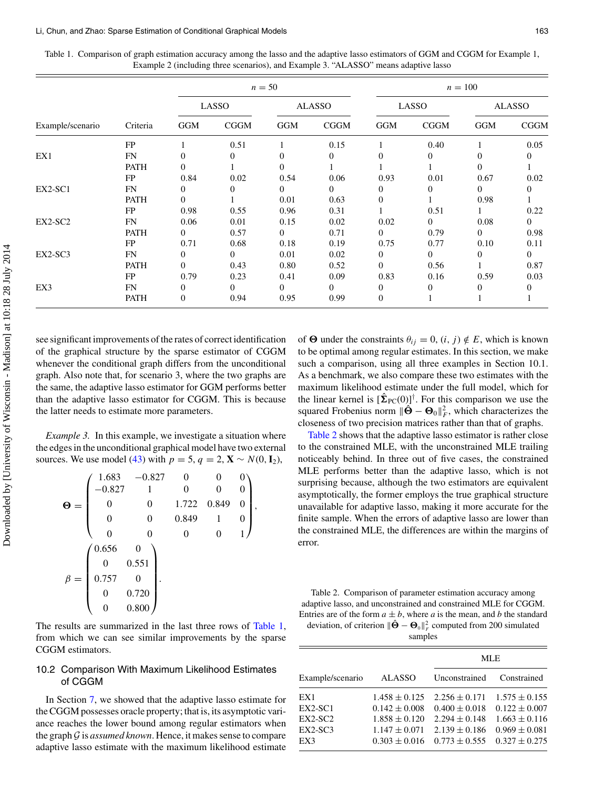<span id="page-11-0"></span>

|  | Table 1. Comparison of graph estimation accuracy among the lasso and the adaptive lasso estimators of GGM and CGGM for Example 1. |  |  |
|--|-----------------------------------------------------------------------------------------------------------------------------------|--|--|
|  | Example 2 (including three scenarios), and Example 3, "ALASSO" means adaptive lasso                                               |  |  |

|                  |             | $n=50$         |              |               | $n = 100$   |                  |                |               |                |
|------------------|-------------|----------------|--------------|---------------|-------------|------------------|----------------|---------------|----------------|
|                  |             | LASSO          |              | <b>ALASSO</b> |             | LASSO            |                | <b>ALASSO</b> |                |
| Example/scenario | Criteria    | <b>GGM</b>     | <b>CGGM</b>  | <b>GGM</b>    | <b>CGGM</b> | <b>GGM</b>       | <b>CGGM</b>    | GGM           | <b>CGGM</b>    |
|                  | FP          |                | 0.51         |               | 0.15        | 1                | 0.40           |               | 0.05           |
| EX1              | FN          | $\Omega$       | 0            | 0             | 0           | $\theta$         | $\overline{0}$ | $\Omega$      | $\theta$       |
|                  | <b>PATH</b> | 0              |              | 0             |             |                  |                | $\Omega$      |                |
|                  | <b>FP</b>   | 0.84           | 0.02         | 0.54          | 0.06        | 0.93             | 0.01           | 0.67          | 0.02           |
| EX2-SC1          | FN          | 0              | 0            | $\Omega$      | 0           | $\theta$         | $\Omega$       | $\Omega$      | $\Omega$       |
|                  | <b>PATH</b> | $\Omega$       |              | 0.01          | 0.63        | $\theta$         |                | 0.98          |                |
|                  | FP          | 0.98           | 0.55         | 0.96          | 0.31        |                  | 0.51           |               | 0.22           |
| EX2-SC2          | FN          | 0.06           | 0.01         | 0.15          | 0.02        | 0.02             | $\Omega$       | 0.08          | $\Omega$       |
|                  | <b>PATH</b> | $\Omega$       | 0.57         | $\Omega$      | 0.71        | $\Omega$         | 0.79           | $\Omega$      | 0.98           |
|                  | FP          | 0.71           | 0.68         | 0.18          | 0.19        | 0.75             | 0.77           | 0.10          | 0.11           |
| $EX2-SC3$        | FN          | $\Omega$       | $\mathbf{0}$ | 0.01          | 0.02        | $\theta$         | $\overline{0}$ | $\mathbf{0}$  | $\overline{0}$ |
|                  | <b>PATH</b> | $\theta$       | 0.43         | 0.80          | 0.52        | $\overline{0}$   | 0.56           |               | 0.87           |
|                  | FP          | 0.79           | 0.23         | 0.41          | 0.09        | 0.83             | 0.16           | 0.59          | 0.03           |
| EX3              | FN          | 0              | $\Omega$     | $\Omega$      | 0           | $\theta$         | $\Omega$       | 0             | $\theta$       |
|                  | <b>PATH</b> | $\overline{0}$ | 0.94         | 0.95          | 0.99        | $\boldsymbol{0}$ |                |               |                |

see significant improvements of the rates of correct identification of the graphical structure by the sparse estimator of CGGM whenever the conditional graph differs from the unconditional graph. Also note that, for scenario 3, where the two graphs are the same, the adaptive lasso estimator for GGM performs better than the adaptive lasso estimator for CGGM. This is because the latter needs to estimate more parameters.

*Example 3.* In this example, we investigate a situation where the edges in the unconditional graphical model have two external sources. We use model (43) with  $p = 5$ ,  $q = 2$ ,  $\mathbf{X} \sim N(0, \mathbf{I}_2)$ ,

|     | 1.683 | $-0.827$ |          |       |   |
|-----|-------|----------|----------|-------|---|
|     | 0.827 |          | $\theta$ |       | 0 |
| O   | O     |          | 1.722    | 0.849 | 0 |
|     | 0     |          | 0.849    |       | 0 |
|     | 0     |          | 0        |       | 1 |
|     | 0.656 |          |          |       |   |
|     |       | 0.551    |          |       |   |
| $=$ | 0.757 | 0        |          |       |   |
|     | O     | 0.720    |          |       |   |
|     |       | 0.800    |          |       |   |

The results are summarized in the last three rows of [Table 1,](#page-11-0) from which we can see similar improvements by the sparse CGGM estimators.

# 10.2 Comparison With Maximum Likelihood Estimates of CGGM

In Section [7,](#page-6-0) we showed that the adaptive lasso estimate for the CGGM possesses oracle property; that is, its asymptotic variance reaches the lower bound among regular estimators when the graph *G* is *assumed known*. Hence, it makes sense to compare adaptive lasso estimate with the maximum likelihood estimate

of  $\Theta$  under the constraints  $\theta_{ij} = 0$ ,  $(i, j) \notin E$ , which is known to be optimal among regular estimates. In this section, we make such a comparison, using all three examples in Section 10.1. As a benchmark, we also compare these two estimates with the maximum likelihood estimate under the full model, which for the linear kernel is  $\left[\hat{\Sigma}_{PC}(0)\right]^{\dagger}$ . For this comparison we use the squared Frobenius norm  $\|\hat{\mathbf{\Theta}} - \mathbf{\Theta}_0\|_F^2$ , which characterizes the closeness of two precision matrices rather than that of graphs.

[Table 2](#page-11-1) shows that the adaptive lasso estimator is rather close to the constrained MLE, with the unconstrained MLE trailing noticeably behind. In three out of five cases, the constrained MLE performs better than the adaptive lasso, which is not surprising because, although the two estimators are equivalent asymptotically, the former employs the true graphical structure unavailable for adaptive lasso, making it more accurate for the finite sample. When the errors of adaptive lasso are lower than the constrained MLE, the differences are within the margins of error.

<span id="page-11-1"></span>Table 2. Comparison of parameter estimation accuracy among adaptive lasso, and unconstrained and constrained MLE for CGGM. Entries are of the form  $a \pm b$ , where a is the mean, and b the standard deviation, of criterion  $\|\hat{\mathbf{\Theta}} - \mathbf{\Theta}_0\|_F^2$  computed from 200 simulated

samples

|                  |                   | <b>MLE</b>        |                   |  |  |
|------------------|-------------------|-------------------|-------------------|--|--|
| Example/scenario | <b>ALASSO</b>     | Unconstrained     | Constrained       |  |  |
| EX1              | $1.458 \pm 0.125$ | $2.256 \pm 0.171$ | $1.575 \pm 0.155$ |  |  |
| EX2-SC1          | $0.142 \pm 0.008$ | $0.400 \pm 0.018$ | $0.122 \pm 0.007$ |  |  |
| EX2-SC2          | $1.858 \pm 0.120$ | $2.294 \pm 0.148$ | $1.663 \pm 0.116$ |  |  |
| $EX2-SC3$        | $1.147 \pm 0.071$ | $2.139 \pm 0.186$ | $0.969 \pm 0.081$ |  |  |
| EX3              | $0.303 \pm 0.016$ | $0.773 \pm 0.555$ | $0.327 \pm 0.275$ |  |  |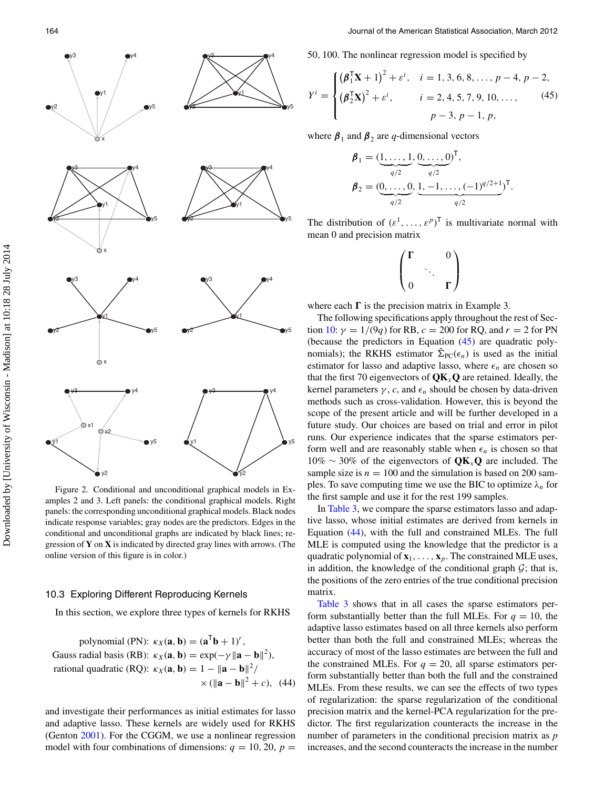<span id="page-12-0"></span>

Figure 2. Conditional and unconditional graphical models in Examples 2 and 3. Left panels: the conditional graphical models. Right panels: the corresponding unconditional graphical models. Black nodes indicate response variables; gray nodes are the predictors. Edges in the conditional and unconditional graphs are indicated by black lines; regression of **Y** on **X** is indicated by directed gray lines with arrows. (The online version of this figure is in color.)

#### 10.3 Exploring Different Reproducing Kernels

In this section, we explore three types of kernels for RKHS

polynomial (PN): 
$$
\kappa_X(\mathbf{a}, \mathbf{b}) = (\mathbf{a}^T \mathbf{b} + 1)^r
$$
,  
Gauss radial basis (RB):  $\kappa_X(\mathbf{a}, \mathbf{b}) = \exp(-\gamma ||\mathbf{a} - \mathbf{b}||^2)$ ,  
rational quadratic (RQ):  $\kappa_X(\mathbf{a}, \mathbf{b}) = 1 - ||\mathbf{a} - \mathbf{b}||^2 /$   
 $\times (||\mathbf{a} - \mathbf{b}||^2 + c)$ , (44)

<span id="page-12-1"></span>and investigate their performances as initial estimates for lasso and adaptive lasso. These kernels are widely used for RKHS (Genton [2001\)](#page-15-30). For the CGGM, we use a nonlinear regression model with four combinations of dimensions:  $q = 10, 20, p =$  50, 100. The nonlinear regression model is specified by

$$
Y^{i} = \begin{cases} \left(\boldsymbol{\beta}_{1}^{T}\mathbf{X} + 1\right)^{2} + \varepsilon^{i}, & i = 1, 3, 6, 8, ..., p - 4, p - 2, \\ \left(\boldsymbol{\beta}_{2}^{T}\mathbf{X}\right)^{2} + \varepsilon^{i}, & i = 2, 4, 5, 7, 9, 10, ..., \\ p - 3, p - 1, p, \end{cases}
$$
(45)

where  $\beta_1$  and  $\beta_2$  are *q*-dimensional vectors

$$
\boldsymbol{\beta}_1 = (\underbrace{1, \ldots, 1}_{q/2}, \underbrace{0, \ldots, 0}_{q/2}, \underbrace{1, -1, \ldots, (-1)^{q/2+1}}_{q/2})^{\mathsf{T}}.
$$
\n
$$
\boldsymbol{\beta}_2 = (\underbrace{0, \ldots, 0}_{q/2}, \underbrace{1, -1, \ldots, (-1)^{q/2+1}}_{q/2})^{\mathsf{T}}.
$$

The distribution of  $(\varepsilon^1, \ldots, \varepsilon^p)^T$  is multivariate normal with mean 0 and precision matrix

$$
\begin{pmatrix} \Gamma & & 0 \\ & \ddots & \\ 0 & & \Gamma \end{pmatrix}
$$

where each  $\Gamma$  is the precision matrix in Example 3.

The following specifications apply throughout the rest of Sec-tion [10:](#page-10-0)  $\gamma = 1/(9q)$  for RB,  $c = 200$  for RQ, and  $r = 2$  for PN (because the predictors in Equation (45) are quadratic polynomials); the RKHS estimator  $\hat{\Sigma}_{PC}(\epsilon_n)$  is used as the initial estimator for lasso and adaptive lasso, where  $\epsilon_n$  are chosen so that the first 70 eigenvectors of  $QK_xQ$  are retained. Ideally, the kernel parameters  $\gamma$ , *c*, and  $\epsilon_n$  should be chosen by data-driven methods such as cross-validation. However, this is beyond the scope of the present article and will be further developed in a future study. Our choices are based on trial and error in pilot runs. Our experience indicates that the sparse estimators perform well and are reasonably stable when  $\epsilon_n$  is chosen so that  $10\%$  ∼ 30% of the eigenvectors of  $QK_XQ$  are included. The sample size is  $n = 100$  and the simulation is based on 200 samples. To save computing time we use the BIC to optimize  $\lambda_n$  for the first sample and use it for the rest 199 samples.

In [Table 3,](#page-13-1) we compare the sparse estimators lasso and adaptive lasso, whose initial estimates are derived from kernels in Equation (44), with the full and constrained MLEs. The full MLE is computed using the knowledge that the predictor is a quadratic polynomial of  $\mathbf{x}_1, \ldots, \mathbf{x}_p$ . The constrained MLE uses, in addition, the knowledge of the conditional graph  $G$ ; that is, the positions of the zero entries of the true conditional precision matrix.

[Table 3](#page-13-1) shows that in all cases the sparse estimators perform substantially better than the full MLEs. For  $q = 10$ , the adaptive lasso estimates based on all three kernels also perform better than both the full and constrained MLEs; whereas the accuracy of most of the lasso estimates are between the full and the constrained MLEs. For  $q = 20$ , all sparse estimators perform substantially better than both the full and the constrained MLEs. From these results, we can see the effects of two types of regularization: the sparse regularization of the conditional precision matrix and the kernel-PCA regularization for the predictor. The first regularization counteracts the increase in the number of parameters in the conditional precision matrix as *p* increases, and the second counteracts the increase in the number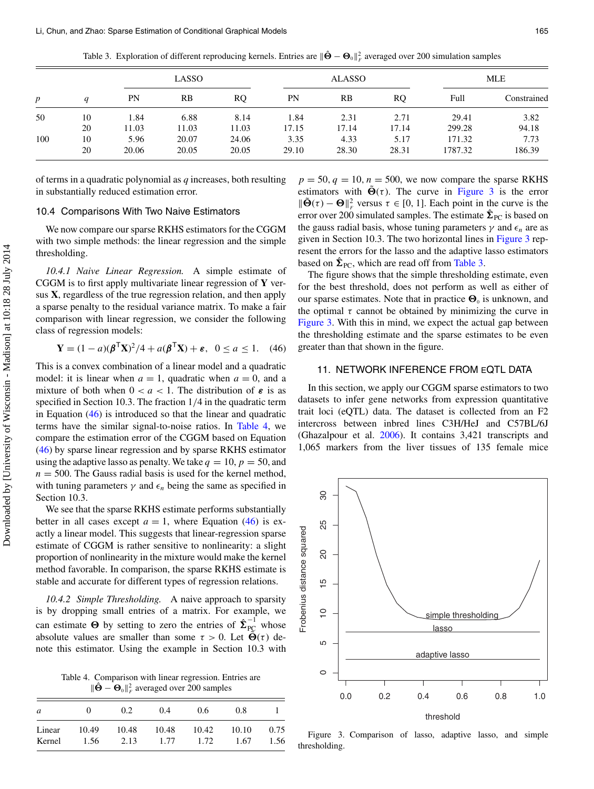Table 3. Exploration of different reproducing kernels. Entries are  $\|\hat{\mathbf{\Theta}}-\mathbf{\Theta}_0\|_F^2$  averaged over 200 simulation samples

<span id="page-13-1"></span>

| p   |          |               | LASSO          |                |               | <b>ALASSO</b> |               | <b>MLE</b>        |                |
|-----|----------|---------------|----------------|----------------|---------------|---------------|---------------|-------------------|----------------|
|     |          | PN            | RB             | RQ             | PN            | RB            | RQ            | Full              | Constrained    |
| 50  | 10       | 1.84          | 6.88           | 8.14           | 1.84          | 2.31          | 2.71          | 29.41             | 3.82           |
|     | 20       | 11.03         | 11.03          | 11.03          | 17.15         | 17.14         | 17.14         | 299.28            | 94.18          |
| 100 | 10<br>20 | 5.96<br>20.06 | 20.07<br>20.05 | 24.06<br>20.05 | 3.35<br>29.10 | 4.33<br>28.30 | 5.17<br>28.31 | 171.32<br>1787.32 | 7.73<br>186.39 |

of terms in a quadratic polynomial as *q* increases, both resulting in substantially reduced estimation error.

# 10.4 Comparisons With Two Naive Estimators

We now compare our sparse RKHS estimators for the CGGM with two simple methods: the linear regression and the simple thresholding.

*10.4.1 Naive Linear Regression.* A simple estimate of CGGM is to first apply multivariate linear regression of **Y** versus **X**, regardless of the true regression relation, and then apply a sparse penalty to the residual variance matrix. To make a fair comparison with linear regression, we consider the following class of regression models:

$$
\mathbf{Y} = (1 - a)(\boldsymbol{\beta}^{\mathsf{T}}\mathbf{X})^2/4 + a(\boldsymbol{\beta}^{\mathsf{T}}\mathbf{X}) + \boldsymbol{\varepsilon}, \ \ 0 \le a \le 1. \tag{46}
$$

This is a convex combination of a linear model and a quadratic model: it is linear when  $a = 1$ , quadratic when  $a = 0$ , and a mixture of both when  $0 < a < 1$ . The distribution of  $\varepsilon$  is as specified in Section 10.3. The fraction 1/4 in the quadratic term in Equation (46) is introduced so that the linear and quadratic terms have the similar signal-to-noise ratios. In [Table 4,](#page-13-2) we compare the estimation error of the CGGM based on Equation (46) by sparse linear regression and by sparse RKHS estimator using the adaptive lasso as penalty. We take  $q = 10$ ,  $p = 50$ , and  $n = 500$ . The Gauss radial basis is used for the kernel method, with tuning parameters  $\gamma$  and  $\epsilon_n$  being the same as specified in Section 10.3.

We see that the sparse RKHS estimate performs substantially better in all cases except  $a = 1$ , where Equation (46) is exactly a linear model. This suggests that linear-regression sparse estimate of CGGM is rather sensitive to nonlinearity: a slight proportion of nonlinearity in the mixture would make the kernel method favorable. In comparison, the sparse RKHS estimate is stable and accurate for different types of regression relations.

*10.4.2 Simple Thresholding.* A naive approach to sparsity is by dropping small entries of a matrix. For example, we can estimate  $\Theta$  by setting to zero the entries of  $\hat{\Sigma}_{PC}^{-1}$  whose absolute values are smaller than some  $\tau > 0$ . Let  $\tilde{\Theta}(\tau)$  denote this estimator. Using the example in Section 10.3 with

Table 4. Comparison with linear regression. Entries are  $\|\hat{\mathbf{\Theta}} - \mathbf{\Theta}_0\|_F^2$  averaged over 200 samples

<span id="page-13-2"></span>

| a      | $\mathbf{\Omega}$ | 0.2   | 0.4   | 0.6   | 0.8   |      |
|--------|-------------------|-------|-------|-------|-------|------|
| Linear | 10.49             | 10.48 | 10.48 | 10.42 | 10.10 | 0.75 |
| Kernel | 1.56              | 2.13  | 1.77  | 1.72  | 1.67  | 1.56 |

 $p = 50, q = 10, n = 500$ , we now compare the sparse RKHS estimators with  $\tilde{\Theta}(\tau)$ . The curve in [Figure 3](#page-13-3) is the error  $\|\tilde{\Theta}(\tau) - \Theta\|_{F}^{2}$  versus  $\tau \in [0, 1]$ . Each point in the curve is the error over 200 simulated samples. The estimate  $\hat{\Sigma}_{PC}$  is based on the gauss radial basis, whose tuning parameters  $\gamma$  and  $\epsilon_n$  are as given in Section 10.3. The two horizontal lines in [Figure 3](#page-13-3) represent the errors for the lasso and the adaptive lasso estimators based on  $\hat{\Sigma}_{\text{PC}}$ , which are read off from [Table 3.](#page-13-1)

The figure shows that the simple thresholding estimate, even for the best threshold, does not perform as well as either of our sparse estimates. Note that in practice  $\mathbf{\Theta}_0$  is unknown, and the optimal  $\tau$  cannot be obtained by minimizing the curve in [Figure 3.](#page-13-3) With this in mind, we expect the actual gap between the thresholding estimate and the sparse estimates to be even greater than that shown in the figure.

# <span id="page-13-0"></span>11. NETWORK INFERENCE FROM EQTL DATA

In this section, we apply our CGGM sparse estimators to two datasets to infer gene networks from expression quantitative trait loci (eQTL) data. The dataset is collected from an F2 intercross between inbred lines C3H/HeJ and C57BL/6J (Ghazalpour et al. [2006\)](#page-15-31). It contains 3,421 transcripts and 1,065 markers from the liver tissues of 135 female mice

<span id="page-13-4"></span><span id="page-13-3"></span>

Figure 3. Comparison of lasso, adaptive lasso, and simple thresholding.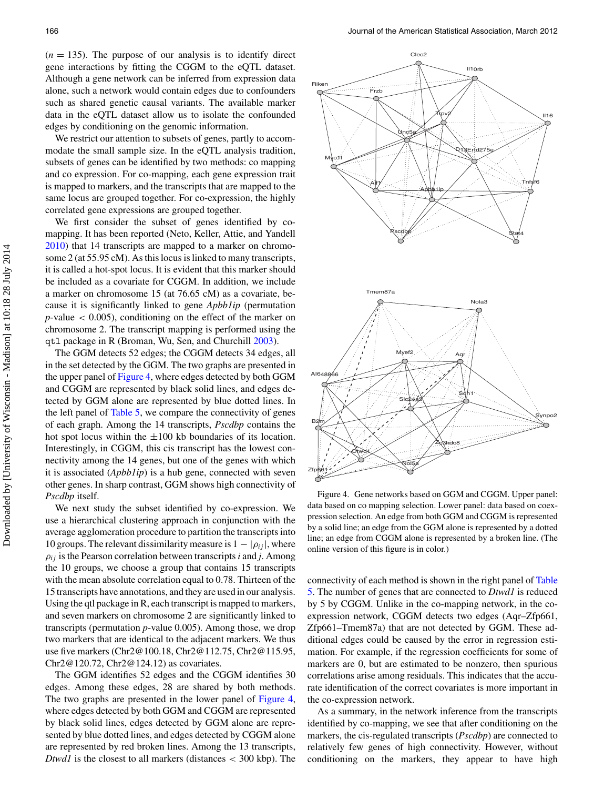$(n = 135)$ . The purpose of our analysis is to identify direct gene interactions by fitting the CGGM to the eQTL dataset. Although a gene network can be inferred from expression data alone, such a network would contain edges due to confounders such as shared genetic causal variants. The available marker data in the eQTL dataset allow us to isolate the confounded edges by conditioning on the genomic information.

We restrict our attention to subsets of genes, partly to accommodate the small sample size. In the eQTL analysis tradition, subsets of genes can be identified by two methods: co mapping and co expression. For co-mapping, each gene expression trait is mapped to markers, and the transcripts that are mapped to the same locus are grouped together. For co-expression, the highly correlated gene expressions are grouped together.

<span id="page-14-2"></span>We first consider the subset of genes identified by comapping. It has been reported (Neto, Keller, Attie, and Yandell [2010\)](#page-15-32) that 14 transcripts are mapped to a marker on chromosome 2 (at 55.95 cM). As this locus is linked to many transcripts, it is called a hot-spot locus. It is evident that this marker should be included as a covariate for CGGM. In addition, we include a marker on chromosome 15 (at 76.65 cM) as a covariate, because it is significantly linked to gene *Apbb1ip* (permutation  $p$ -value  $\lt$  0.005), conditioning on the effect of the marker on chromosome 2. The transcript mapping is performed using the qtl package in R (Broman, Wu, Sen, and Churchill [2003\)](#page-15-33).

The GGM detects 52 edges; the CGGM detects 34 edges, all in the set detected by the GGM. The two graphs are presented in the upper panel of [Figure 4,](#page-14-0) where edges detected by both GGM and CGGM are represented by black solid lines, and edges detected by GGM alone are represented by blue dotted lines. In the left panel of [Table 5,](#page-15-34) we compare the connectivity of genes of each graph. Among the 14 transcripts, *Pscdbp* contains the hot spot locus within the  $\pm 100$  kb boundaries of its location. Interestingly, in CGGM, this cis transcript has the lowest connectivity among the 14 genes, but one of the genes with which it is associated (*Apbb1ip*) is a hub gene, connected with seven other genes. In sharp contrast, GGM shows high connectivity of *Pscdbp* itself.

We next study the subset identified by co-expression. We use a hierarchical clustering approach in conjunction with the average agglomeration procedure to partition the transcripts into 10 groups. The relevant dissimilarity measure is  $1 - |\rho_{ij}|$ , where  $\rho_{ij}$  is the Pearson correlation between transcripts *i* and *j*. Among the 10 groups, we choose a group that contains 15 transcripts with the mean absolute correlation equal to 0.78. Thirteen of the 15 transcripts have annotations, and they are used in our analysis. Using the qtl package in R, each transcript is mapped to markers, and seven markers on chromosome 2 are significantly linked to transcripts (permutation *p*-value 0.005). Among those, we drop two markers that are identical to the adjacent markers. We thus use five markers (Chr2@100.18, Chr2@112.75, Chr2@115.95, Chr2@120.72, Chr2@124.12) as covariates.

The GGM identifies 52 edges and the CGGM identifies 30 edges. Among these edges, 28 are shared by both methods. The two graphs are presented in the lower panel of [Figure 4,](#page-14-0) where edges detected by both GGM and CGGM are represented by black solid lines, edges detected by GGM alone are represented by blue dotted lines, and edges detected by CGGM alone are represented by red broken lines. Among the 13 transcripts, *Dtwd1* is the closest to all markers (distances < 300 kbp). The

<span id="page-14-0"></span>

<span id="page-14-1"></span>Figure 4. Gene networks based on GGM and CGGM. Upper panel: data based on co mapping selection. Lower panel: data based on coexpression selection. An edge from both GGM and CGGM is represented by a solid line; an edge from the GGM alone is represented by a dotted line; an edge from CGGM alone is represented by a broken line. (The online version of this figure is in color.)

c[onnectivity of each method is shown in the right panel of](#page-15-34) Table 5. The number of genes that are connected to *Dtwd1* is reduced by 5 by CGGM. Unlike in the co-mapping network, in the coexpression network, CGGM detects two edges (Aqr–Zfp661, Zfp661–Tmem87a) that are not detected by GGM. These additional edges could be caused by the error in regression estimation. For example, if the regression coefficients for some of markers are 0, but are estimated to be nonzero, then spurious correlations arise among residuals. This indicates that the accurate identification of the correct covariates is more important in the co-expression network.

As a summary, in the network inference from the transcripts identified by co-mapping, we see that after conditioning on the markers, the cis-regulated transcripts (*Pscdbp*) are connected to relatively few genes of high connectivity. However, without conditioning on the markers, they appear to have high